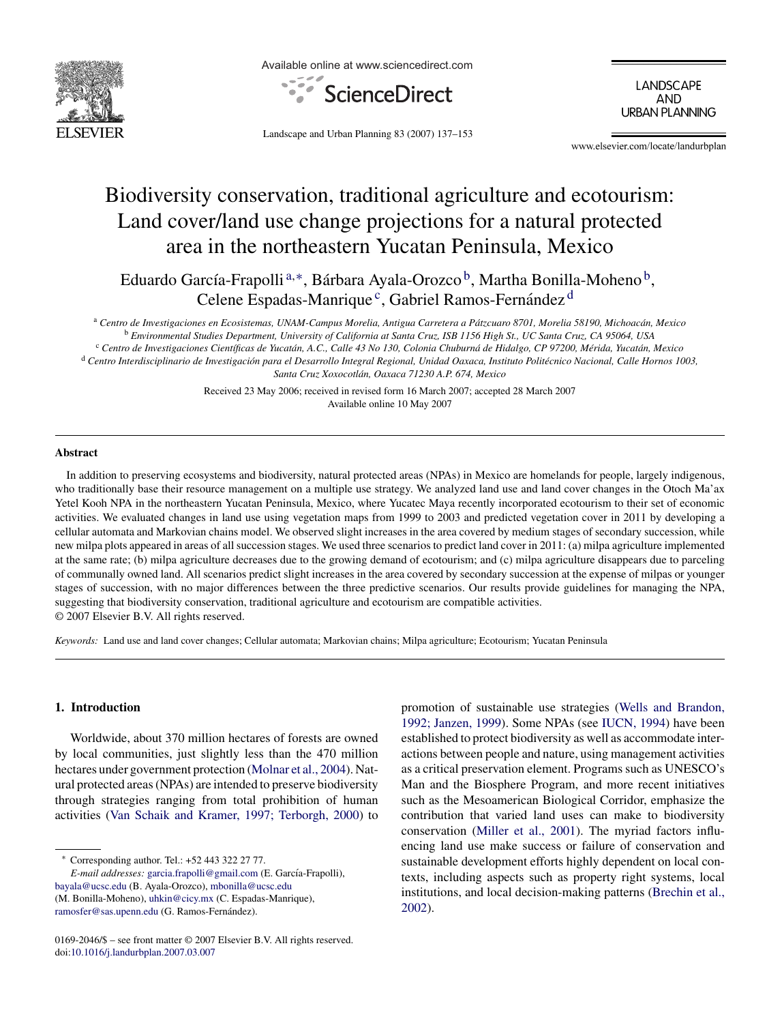

Available online at www.sciencedirect.com



LANDSCAPE **AND URBAN PLANNING** 

Landscape and Urban Planning 83 (2007) 137–153

www.elsevier.com/locate/landurbplan

# Biodiversity conservation, traditional agriculture and ecotourism: Land cover/land use change projections for a natural protected area in the northeastern Yucatan Peninsula, Mexico

Eduardo García-Frapolli<sup>a,\*</sup>, Bárbara Ayala-Orozco<sup>b</sup>, Martha Bonilla-Moheno<sup>b</sup>, Celene Espadas-Manrique<sup>c</sup>, Gabriel Ramos-Fernández<sup>d</sup>

<sup>a</sup> Centro de Investigaciones en Ecosistemas, UNAM-Campus Morelia, Antigua Carretera a Pátzcuaro 8701, Morelia 58190, Michoacán, Mexico <sup>b</sup> *Environmental Studies Department, University of California at Santa Cruz, ISB 1156 High St., UC Santa Cruz, CA 95064, USA* <sup>c</sup> Centro de Investigaciones Científicas de Yucatán, A.C., Calle 43 No 130, Colonia Chuburná de Hidalgo, CP 97200, Mérida, Yucatán, Mexico <sup>d</sup> Centro Interdisciplinario de Investigación para el Desarrollo Integral Regional, Unidad Oaxaca, Instituto Politécnico Nacional, Calle Hornos 1003, *Santa Cruz Xoxocotl ´an, Oaxaca 71230 A.P. 674, Mexico*

> Received 23 May 2006; received in revised form 16 March 2007; accepted 28 March 2007 Available online 10 May 2007

#### **Abstract**

In addition to preserving ecosystems and biodiversity, natural protected areas (NPAs) in Mexico are homelands for people, largely indigenous, who traditionally base their resource management on a multiple use strategy. We analyzed land use and land cover changes in the Otoch Ma'ax Yetel Kooh NPA in the northeastern Yucatan Peninsula, Mexico, where Yucatec Maya recently incorporated ecotourism to their set of economic activities. We evaluated changes in land use using vegetation maps from 1999 to 2003 and predicted vegetation cover in 2011 by developing a cellular automata and Markovian chains model. We observed slight increases in the area covered by medium stages of secondary succession, while new milpa plots appeared in areas of all succession stages. We used three scenarios to predict land cover in 2011: (a) milpa agriculture implemented at the same rate; (b) milpa agriculture decreases due to the growing demand of ecotourism; and (c) milpa agriculture disappears due to parceling of communally owned land. All scenarios predict slight increases in the area covered by secondary succession at the expense of milpas or younger stages of succession, with no major differences between the three predictive scenarios. Our results provide guidelines for managing the NPA, suggesting that biodiversity conservation, traditional agriculture and ecotourism are compatible activities. © 2007 Elsevier B.V. All rights reserved.

*Keywords:* Land use and land cover changes; Cellular automata; Markovian chains; Milpa agriculture; Ecotourism; Yucatan Peninsula

## **1. Introduction**

Worldwide, about 370 million hectares of forests are owned by local communities, just slightly less than the 470 million hectares under government protection [\(Molnar et al., 2004\).](#page-16-0) Natural protected areas (NPAs) are intended to preserve biodiversity through strategies ranging from total prohibition of human activities [\(Van Schaik and Kramer, 1997; Terborgh, 2000\)](#page-16-0) to

∗ Corresponding author. Tel.: +52 443 322 27 77.

*E-mail addresses:* [garcia.frapolli@gmail.com](mailto:garcia.frapolli@gmail.com) (E. García-Frapolli), [bayala@ucsc.edu](mailto:bayala@ucsc.edu) (B. Ayala-Orozco), [mbonilla@ucsc.edu](mailto:mbonilla@ucsc.edu) (M. Bonilla-Moheno), [uhkin@cicy.mx](mailto:uhkin@cicy.mx) (C. Espadas-Manrique), [ramosfer@sas.upenn.edu](mailto:ramosfer@sas.upenn.edu) (G. Ramos-Fernández).

promotion of sustainable use strategies ([Wells and Brandon,](#page-16-0) [1992; Janzen, 1999\).](#page-16-0) Some NPAs (see [IUCN, 1994\)](#page-15-0) have been established to protect biodiversity as well as accommodate interactions between people and nature, using management activities as a critical preservation element. Programs such as UNESCO's Man and the Biosphere Program, and more recent initiatives such as the Mesoamerican Biological Corridor, emphasize the contribution that varied land uses can make to biodiversity conservation ([Miller et al., 2001\).](#page-16-0) The myriad factors influencing land use make success or failure of conservation and sustainable development efforts highly dependent on local contexts, including aspects such as property right systems, local institutions, and local decision-making patterns ([Brechin et al.,](#page-15-0) [2002\).](#page-15-0)

<sup>0169-2046/\$ –</sup> see front matter © 2007 Elsevier B.V. All rights reserved. doi[:10.1016/j.landurbplan.2007.03.007](dx.doi.org/10.1016/j.landurbplan.2007.03.007)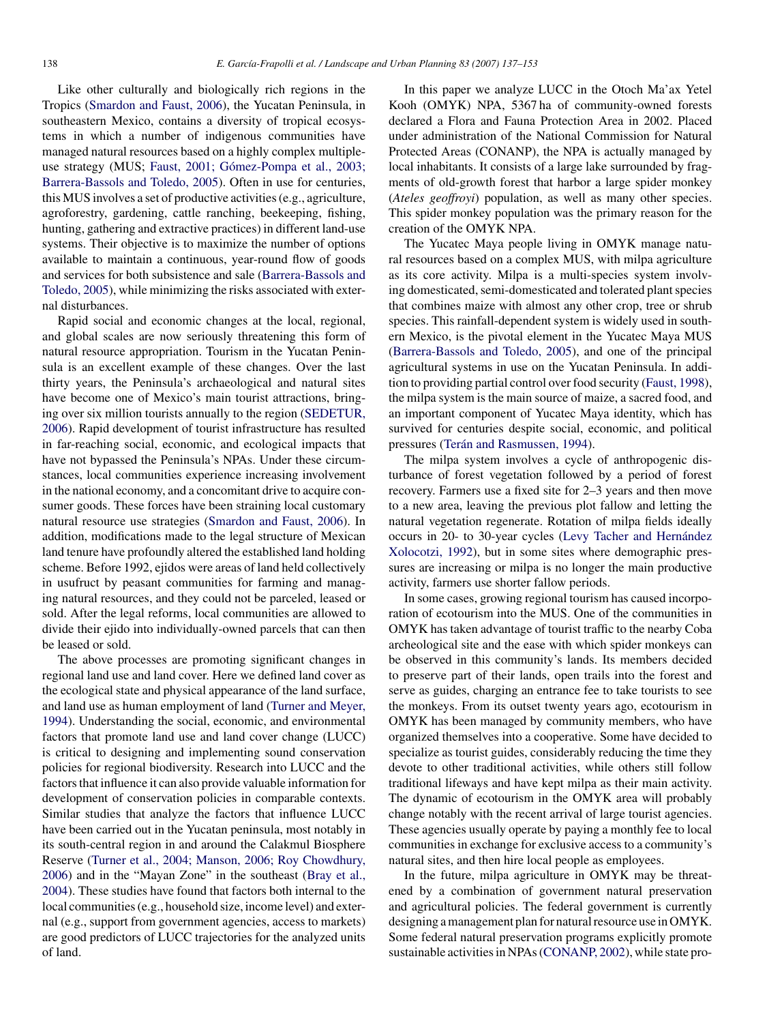Like other culturally and biologically rich regions in the Tropics [\(Smardon and Faust, 2006\),](#page-16-0) the Yucatan Peninsula, in southeastern Mexico, contains a diversity of tropical ecosystems in which a number of indigenous communities have managed natural resources based on a highly complex multipleuse strategy (MUS; Faust, 2001; Gómez-Pompa et al., 2003; [Barrera-Bassols and Toledo, 2005\).](#page-15-0) Often in use for centuries, this MUS involves a set of productive activities (e.g., agriculture, agroforestry, gardening, cattle ranching, beekeeping, fishing, hunting, gathering and extractive practices) in different land-use systems. Their objective is to maximize the number of options available to maintain a continuous, year-round flow of goods and services for both subsistence and sale ([Barrera-Bassols and](#page-15-0) [Toledo, 2005\),](#page-15-0) while minimizing the risks associated with external disturbances.

Rapid social and economic changes at the local, regional, and global scales are now seriously threatening this form of natural resource appropriation. Tourism in the Yucatan Peninsula is an excellent example of these changes. Over the last thirty years, the Peninsula's archaeological and natural sites have become one of Mexico's main tourist attractions, bringing over six million tourists annually to the region ([SEDETUR,](#page-16-0) [2006\).](#page-16-0) Rapid development of tourist infrastructure has resulted in far-reaching social, economic, and ecological impacts that have not bypassed the Peninsula's NPAs. Under these circumstances, local communities experience increasing involvement in the national economy, and a concomitant drive to acquire consumer goods. These forces have been straining local customary natural resource use strategies ([Smardon and Faust, 2006\).](#page-16-0) In addition, modifications made to the legal structure of Mexican land tenure have profoundly altered the established land holding scheme. Before 1992, ejidos were areas of land held collectively in usufruct by peasant communities for farming and managing natural resources, and they could not be parceled, leased or sold. After the legal reforms, local communities are allowed to divide their ejido into individually-owned parcels that can then be leased or sold.

The above processes are promoting significant changes in regional land use and land cover. Here we defined land cover as the ecological state and physical appearance of the land surface, and land use as human employment of land [\(Turner and Meyer,](#page-16-0) [1994\).](#page-16-0) Understanding the social, economic, and environmental factors that promote land use and land cover change (LUCC) is critical to designing and implementing sound conservation policies for regional biodiversity. Research into LUCC and the factors that influence it can also provide valuable information for development of conservation policies in comparable contexts. Similar studies that analyze the factors that influence LUCC have been carried out in the Yucatan peninsula, most notably in its south-central region in and around the Calakmul Biosphere Reserve [\(Turner et al., 2004; Manson, 2006; Roy Chowdhury,](#page-16-0) [2006\)](#page-16-0) and in the "Mayan Zone" in the southeast [\(Bray et al.,](#page-15-0) [2004\).](#page-15-0) These studies have found that factors both internal to the local communities (e.g., household size, income level) and external (e.g., support from government agencies, access to markets) are good predictors of LUCC trajectories for the analyzed units of land.

In this paper we analyze LUCC in the Otoch Ma'ax Yetel Kooh (OMYK) NPA, 5367 ha of community-owned forests declared a Flora and Fauna Protection Area in 2002. Placed under administration of the National Commission for Natural Protected Areas (CONANP), the NPA is actually managed by local inhabitants. It consists of a large lake surrounded by fragments of old-growth forest that harbor a large spider monkey (*Ateles geoffroyi*) population, as well as many other species. This spider monkey population was the primary reason for the creation of the OMYK NPA.

The Yucatec Maya people living in OMYK manage natural resources based on a complex MUS, with milpa agriculture as its core activity. Milpa is a multi-species system involving domesticated, semi-domesticated and tolerated plant species that combines maize with almost any other crop, tree or shrub species. This rainfall-dependent system is widely used in southern Mexico, is the pivotal element in the Yucatec Maya MUS [\(Barrera-Bassols and Toledo, 2005\),](#page-15-0) and one of the principal agricultural systems in use on the Yucatan Peninsula. In addition to providing partial control over food security ([Faust, 1998\),](#page-15-0) the milpa system is the main source of maize, a sacred food, and an important component of Yucatec Maya identity, which has survived for centuries despite social, economic, and political pressures (Terán and Rasmussen, 1994).

The milpa system involves a cycle of anthropogenic disturbance of forest vegetation followed by a period of forest recovery. Farmers use a fixed site for 2–3 years and then move to a new area, leaving the previous plot fallow and letting the natural vegetation regenerate. Rotation of milpa fields ideally occurs in 20- to 30-year cycles (Levy Tacher and Hernández [Xolocotzi, 1992\),](#page-15-0) but in some sites where demographic pressures are increasing or milpa is no longer the main productive activity, farmers use shorter fallow periods.

In some cases, growing regional tourism has caused incorporation of ecotourism into the MUS. One of the communities in OMYK has taken advantage of tourist traffic to the nearby Coba archeological site and the ease with which spider monkeys can be observed in this community's lands. Its members decided to preserve part of their lands, open trails into the forest and serve as guides, charging an entrance fee to take tourists to see the monkeys. From its outset twenty years ago, ecotourism in OMYK has been managed by community members, who have organized themselves into a cooperative. Some have decided to specialize as tourist guides, considerably reducing the time they devote to other traditional activities, while others still follow traditional lifeways and have kept milpa as their main activity. The dynamic of ecotourism in the OMYK area will probably change notably with the recent arrival of large tourist agencies. These agencies usually operate by paying a monthly fee to local communities in exchange for exclusive access to a community's natural sites, and then hire local people as employees.

In the future, milpa agriculture in OMYK may be threatened by a combination of government natural preservation and agricultural policies. The federal government is currently designing a management plan for natural resource use in OMYK. Some federal natural preservation programs explicitly promote sustainable activities in NPAs ([CONANP, 2002\),](#page-15-0) while state pro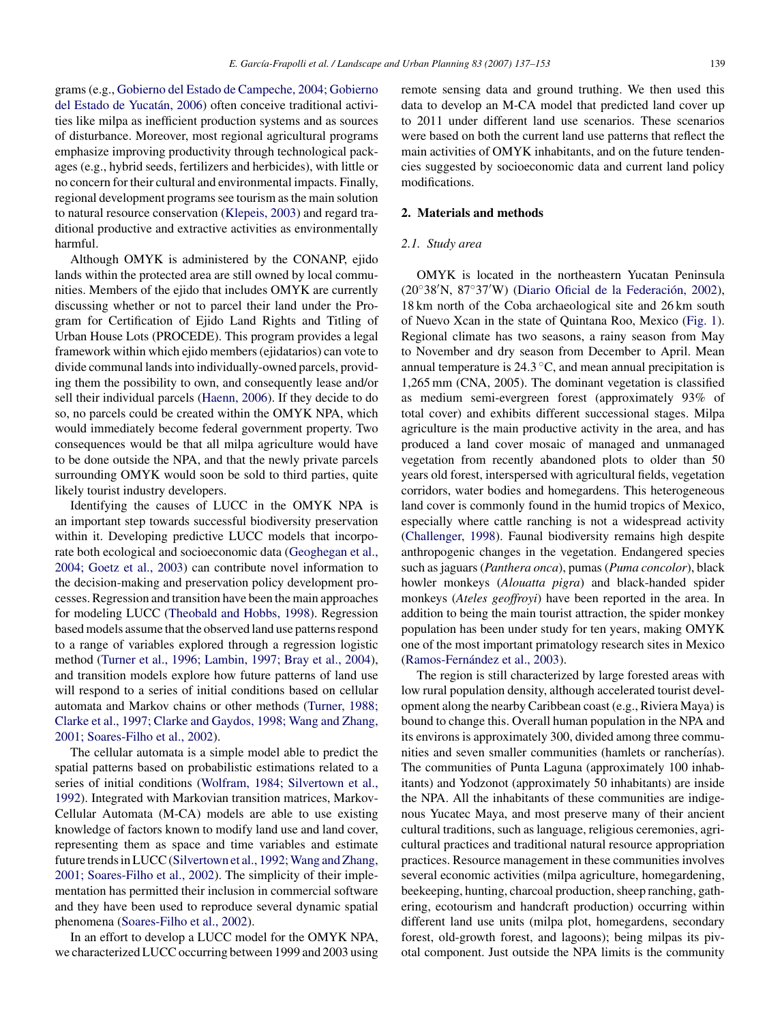grams (e.g., [Gobierno del Estado de Campeche, 2004; Gobierno](#page-15-0) del Estado de Yucatán, 2006) often conceive traditional activities like milpa as inefficient production systems and as sources of disturbance. Moreover, most regional agricultural programs emphasize improving productivity through technological packages (e.g., hybrid seeds, fertilizers and herbicides), with little or no concern for their cultural and environmental impacts. Finally, regional development programs see tourism as the main solution to natural resource conservation ([Klepeis, 2003\)](#page-15-0) and regard traditional productive and extractive activities as environmentally harmful.

Although OMYK is administered by the CONANP, ejido lands within the protected area are still owned by local communities. Members of the ejido that includes OMYK are currently discussing whether or not to parcel their land under the Program for Certification of Ejido Land Rights and Titling of Urban House Lots (PROCEDE). This program provides a legal framework within which ejido members (ejidatarios) can vote to divide communal lands into individually-owned parcels, providing them the possibility to own, and consequently lease and/or sell their individual parcels ([Haenn, 2006\).](#page-15-0) If they decide to do so, no parcels could be created within the OMYK NPA, which would immediately become federal government property. Two consequences would be that all milpa agriculture would have to be done outside the NPA, and that the newly private parcels surrounding OMYK would soon be sold to third parties, quite likely tourist industry developers.

Identifying the causes of LUCC in the OMYK NPA is an important step towards successful biodiversity preservation within it. Developing predictive LUCC models that incorporate both ecological and socioeconomic data [\(Geoghegan et al.,](#page-15-0) [2004; Goetz et al., 2003\)](#page-15-0) can contribute novel information to the decision-making and preservation policy development processes. Regression and transition have been the main approaches for modeling LUCC [\(Theobald and Hobbs, 1998\).](#page-16-0) Regression based models assume that the observed land use patterns respond to a range of variables explored through a regression logistic method ([Turner et al., 1996; Lambin, 1997; Bray et al., 2004\),](#page-16-0) and transition models explore how future patterns of land use will respond to a series of initial conditions based on cellular automata and Markov chains or other methods ([Turner, 1988;](#page-16-0) [Clarke et al., 1997; Clarke and Gaydos, 1998; Wang and Zhang,](#page-16-0) [2001; Soares-Filho et al., 2002\).](#page-16-0)

The cellular automata is a simple model able to predict the spatial patterns based on probabilistic estimations related to a series of initial conditions [\(Wolfram, 1984; Silvertown et al.,](#page-16-0) [1992\).](#page-16-0) Integrated with Markovian transition matrices, Markov-Cellular Automata (M-CA) models are able to use existing knowledge of factors known to modify land use and land cover, representing them as space and time variables and estimate future trends in LUCC [\(Silvertown et al., 1992; Wang and Zhang,](#page-16-0) [2001; Soares-Filho et al., 2002\).](#page-16-0) The simplicity of their implementation has permitted their inclusion in commercial software and they have been used to reproduce several dynamic spatial phenomena [\(Soares-Filho et al., 2002\).](#page-16-0)

In an effort to develop a LUCC model for the OMYK NPA, we characterized LUCC occurring between 1999 and 2003 using remote sensing data and ground truthing. We then used this data to develop an M-CA model that predicted land cover up to 2011 under different land use scenarios. These scenarios were based on both the current land use patterns that reflect the main activities of OMYK inhabitants, and on the future tendencies suggested by socioeconomic data and current land policy modifications.

#### **2. Materials and methods**

#### *2.1. Study area*

OMYK is located in the northeastern Yucatan Peninsula (20°38'N, 87°37'W) (Diario Oficial de la Federación, 2002), 18 km north of the Coba archaeological site and 26 km south of Nuevo Xcan in the state of Quintana Roo, Mexico [\(Fig. 1\).](#page-3-0) Regional climate has two seasons, a rainy season from May to November and dry season from December to April. Mean annual temperature is  $24.3 \degree C$ , and mean annual precipitation is 1,265 mm (CNA, 2005). The dominant vegetation is classified as medium semi-evergreen forest (approximately 93% of total cover) and exhibits different successional stages. Milpa agriculture is the main productive activity in the area, and has produced a land cover mosaic of managed and unmanaged vegetation from recently abandoned plots to older than 50 years old forest, interspersed with agricultural fields, vegetation corridors, water bodies and homegardens. This heterogeneous land cover is commonly found in the humid tropics of Mexico, especially where cattle ranching is not a widespread activity ([Challenger, 1998\).](#page-15-0) Faunal biodiversity remains high despite anthropogenic changes in the vegetation. Endangered species such as jaguars (*Panthera onca*), pumas (*Puma concolor*), black howler monkeys (*Alouatta pigra*) and black-handed spider monkeys (*Ateles geoffroyi*) have been reported in the area. In addition to being the main tourist attraction, the spider monkey population has been under study for ten years, making OMYK one of the most important primatology research sites in Mexico (Ramos-Fernández et al., 2003).

The region is still characterized by large forested areas with low rural population density, although accelerated tourist development along the nearby Caribbean coast (e.g., Riviera Maya) is bound to change this. Overall human population in the NPA and its environs is approximately 300, divided among three communities and seven smaller communities (hamlets or rancherías). The communities of Punta Laguna (approximately 100 inhabitants) and Yodzonot (approximately 50 inhabitants) are inside the NPA. All the inhabitants of these communities are indigenous Yucatec Maya, and most preserve many of their ancient cultural traditions, such as language, religious ceremonies, agricultural practices and traditional natural resource appropriation practices. Resource management in these communities involves several economic activities (milpa agriculture, homegardening, beekeeping, hunting, charcoal production, sheep ranching, gathering, ecotourism and handcraft production) occurring within different land use units (milpa plot, homegardens, secondary forest, old-growth forest, and lagoons); being milpas its pivotal component. Just outside the NPA limits is the community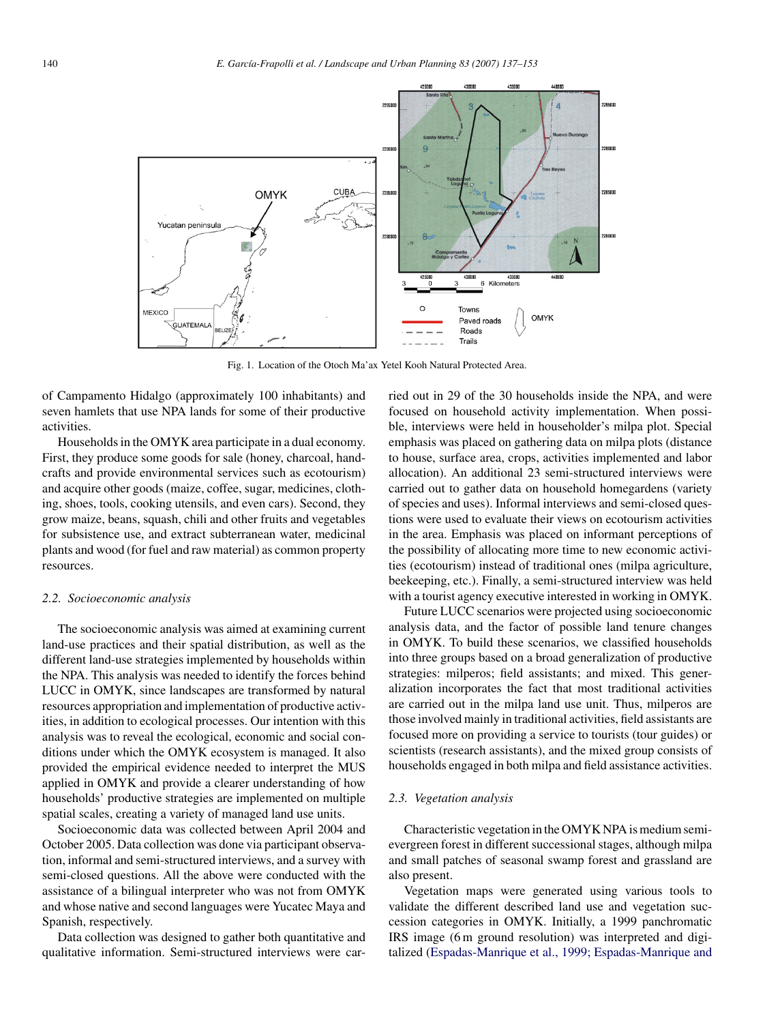<span id="page-3-0"></span>

Fig. 1. Location of the Otoch Ma'ax Yetel Kooh Natural Protected Area.

of Campamento Hidalgo (approximately 100 inhabitants) and seven hamlets that use NPA lands for some of their productive activities.

Households in the OMYK area participate in a dual economy. First, they produce some goods for sale (honey, charcoal, handcrafts and provide environmental services such as ecotourism) and acquire other goods (maize, coffee, sugar, medicines, clothing, shoes, tools, cooking utensils, and even cars). Second, they grow maize, beans, squash, chili and other fruits and vegetables for subsistence use, and extract subterranean water, medicinal plants and wood (for fuel and raw material) as common property resources.

#### *2.2. Socioeconomic analysis*

The socioeconomic analysis was aimed at examining current land-use practices and their spatial distribution, as well as the different land-use strategies implemented by households within the NPA. This analysis was needed to identify the forces behind LUCC in OMYK, since landscapes are transformed by natural resources appropriation and implementation of productive activities, in addition to ecological processes. Our intention with this analysis was to reveal the ecological, economic and social conditions under which the OMYK ecosystem is managed. It also provided the empirical evidence needed to interpret the MUS applied in OMYK and provide a clearer understanding of how households' productive strategies are implemented on multiple spatial scales, creating a variety of managed land use units.

Socioeconomic data was collected between April 2004 and October 2005. Data collection was done via participant observation, informal and semi-structured interviews, and a survey with semi-closed questions. All the above were conducted with the assistance of a bilingual interpreter who was not from OMYK and whose native and second languages were Yucatec Maya and Spanish, respectively.

Data collection was designed to gather both quantitative and qualitative information. Semi-structured interviews were carried out in 29 of the 30 households inside the NPA, and were focused on household activity implementation. When possible, interviews were held in householder's milpa plot. Special emphasis was placed on gathering data on milpa plots (distance to house, surface area, crops, activities implemented and labor allocation). An additional 23 semi-structured interviews were carried out to gather data on household homegardens (variety of species and uses). Informal interviews and semi-closed questions were used to evaluate their views on ecotourism activities in the area. Emphasis was placed on informant perceptions of the possibility of allocating more time to new economic activities (ecotourism) instead of traditional ones (milpa agriculture, beekeeping, etc.). Finally, a semi-structured interview was held with a tourist agency executive interested in working in OMYK.

Future LUCC scenarios were projected using socioeconomic analysis data, and the factor of possible land tenure changes in OMYK. To build these scenarios, we classified households into three groups based on a broad generalization of productive strategies: milperos; field assistants; and mixed. This generalization incorporates the fact that most traditional activities are carried out in the milpa land use unit. Thus, milperos are those involved mainly in traditional activities, field assistants are focused more on providing a service to tourists (tour guides) or scientists (research assistants), and the mixed group consists of households engaged in both milpa and field assistance activities.

## *2.3. Vegetation analysis*

Characteristic vegetation in the OMYK NPA is medium semievergreen forest in different successional stages, although milpa and small patches of seasonal swamp forest and grassland are also present.

Vegetation maps were generated using various tools to validate the different described land use and vegetation succession categories in OMYK. Initially, a 1999 panchromatic IRS image (6 m ground resolution) was interpreted and digitalized [\(Espadas-Manrique et al., 1999; Espadas-Manrique and](#page-15-0)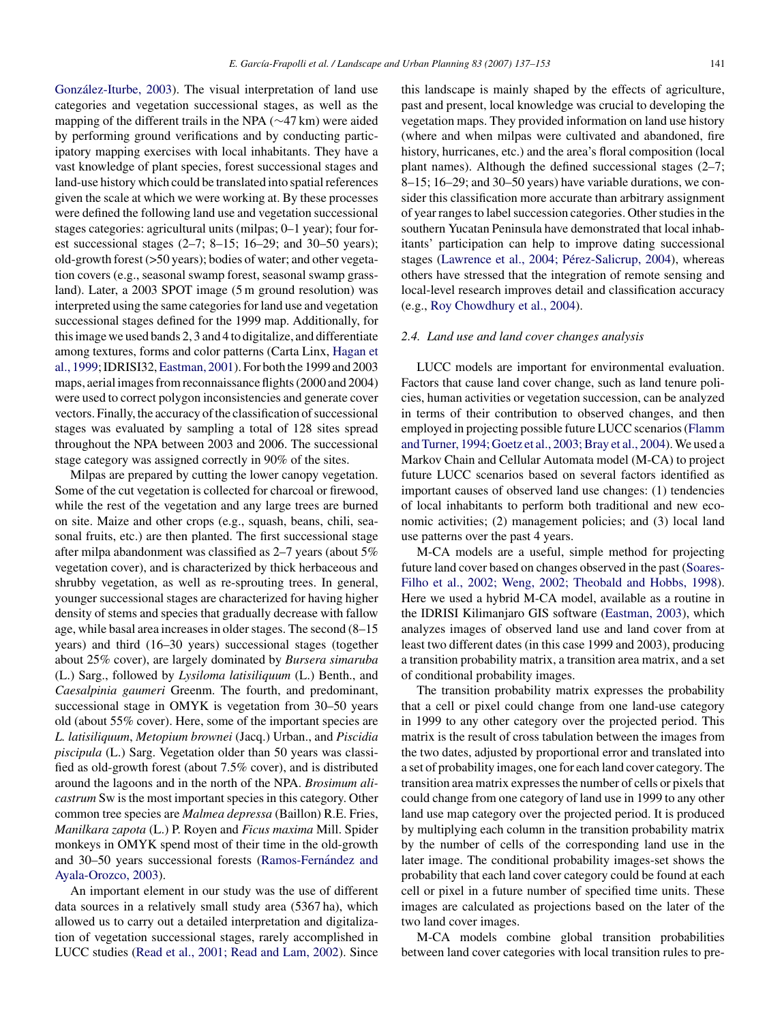González-Iturbe, [2003](#page-15-0)). The visual interpretation of land use categories and vegetation successional stages, as well as the mapping of the different trails in the NPA (∼47 km) were aided by performing ground verifications and by conducting participatory mapping exercises with local inhabitants. They have a vast knowledge of plant species, forest successional stages and land-use history which could be translated into spatial references given the scale at which we were working at. By these processes were defined the following land use and vegetation successional stages categories: agricultural units (milpas; 0–1 year); four forest successional stages (2–7; 8–15; 16–29; and 30–50 years); old-growth forest (>50 years); bodies of water; and other vegetation covers (e.g., seasonal swamp forest, seasonal swamp grassland). Later, a 2003 SPOT image (5 m ground resolution) was interpreted using the same categories for land use and vegetation successional stages defined for the 1999 map. Additionally, for this image we used bands 2, 3 and 4 to digitalize, and differentiate among textures, forms and color patterns (Carta Linx, [Hagan et](#page-15-0) [al., 1999; I](#page-15-0)DRISI32,[Eastman, 2001\).](#page-15-0) For both the 1999 and 2003 maps, aerial images from reconnaissance flights (2000 and 2004) were used to correct polygon inconsistencies and generate cover vectors. Finally, the accuracy of the classification of successional stages was evaluated by sampling a total of 128 sites spread throughout the NPA between 2003 and 2006. The successional stage category was assigned correctly in 90% of the sites.

Milpas are prepared by cutting the lower canopy vegetation. Some of the cut vegetation is collected for charcoal or firewood, while the rest of the vegetation and any large trees are burned on site. Maize and other crops (e.g., squash, beans, chili, seasonal fruits, etc.) are then planted. The first successional stage after milpa abandonment was classified as 2–7 years (about 5% vegetation cover), and is characterized by thick herbaceous and shrubby vegetation, as well as re-sprouting trees. In general, younger successional stages are characterized for having higher density of stems and species that gradually decrease with fallow age, while basal area increases in older stages. The second (8–15 years) and third (16–30 years) successional stages (together about 25% cover), are largely dominated by *Bursera simaruba* (L.) Sarg., followed by *Lysiloma latisiliquum* (L.) Benth., and *Caesalpinia gaumeri* Greenm. The fourth, and predominant, successional stage in OMYK is vegetation from 30–50 years old (about 55% cover). Here, some of the important species are *L. latisiliquum*, *Metopium brownei* (Jacq.) Urban., and *Piscidia piscipula* (L.) Sarg. Vegetation older than 50 years was classified as old-growth forest (about 7.5% cover), and is distributed around the lagoons and in the north of the NPA. *Brosimum alicastrum* Sw is the most important species in this category. Other common tree species are *Malmea depressa* (Baillon) R.E. Fries, *Manilkara zapota* (L.) P. Royen and *Ficus maxima* Mill. Spider monkeys in OMYK spend most of their time in the old-growth and 30-50 years successional forests (Ramos-Fernández and [Ayala-Orozco, 2003\).](#page-16-0)

An important element in our study was the use of different data sources in a relatively small study area (5367 ha), which allowed us to carry out a detailed interpretation and digitalization of vegetation successional stages, rarely accomplished in LUCC studies ([Read et al., 2001; Read and Lam, 2002\).](#page-16-0) Since this landscape is mainly shaped by the effects of agriculture, past and present, local knowledge was crucial to developing the vegetation maps. They provided information on land use history (where and when milpas were cultivated and abandoned, fire history, hurricanes, etc.) and the area's floral composition (local plant names). Although the defined successional stages (2–7; 8–15; 16–29; and 30–50 years) have variable durations, we consider this classification more accurate than arbitrary assignment of year ranges to label succession categories. Other studies in the southern Yucatan Peninsula have demonstrated that local inhabitants' participation can help to improve dating successional stages (Lawrence et al., 2004; Pérez-Salicrup, 2004), whereas others have stressed that the integration of remote sensing and local-level research improves detail and classification accuracy (e.g., [Roy Chowdhury et al., 2004\).](#page-16-0)

#### *2.4. Land use and land cover changes analysis*

LUCC models are important for environmental evaluation. Factors that cause land cover change, such as land tenure policies, human activities or vegetation succession, can be analyzed in terms of their contribution to observed changes, and then employed in projecting possible future LUCC scenarios [\(Flamm](#page-15-0) [and Turner, 1994; Goetz et al., 2003; Bray et al., 2004\).](#page-15-0) We used a Markov Chain and Cellular Automata model (M-CA) to project future LUCC scenarios based on several factors identified as important causes of observed land use changes: (1) tendencies of local inhabitants to perform both traditional and new economic activities; (2) management policies; and (3) local land use patterns over the past 4 years.

M-CA models are a useful, simple method for projecting future land cover based on changes observed in the past ([Soares-](#page-16-0)Filho [et al., 2002; Weng, 2002; Theobald and Hobbs, 1998\).](#page-16-0) Here we used a hybrid M-CA model, available as a routine in the IDRISI Kilimanjaro GIS software ([Eastman, 2003\),](#page-15-0) which analyzes images of observed land use and land cover from at least two different dates (in this case 1999 and 2003), producing a transition probability matrix, a transition area matrix, and a set of conditional probability images.

The transition probability matrix expresses the probability that a cell or pixel could change from one land-use category in 1999 to any other category over the projected period. This matrix is the result of cross tabulation between the images from the two dates, adjusted by proportional error and translated into a set of probability images, one for each land cover category. The transition area matrix expresses the number of cells or pixels that could change from one category of land use in 1999 to any other land use map category over the projected period. It is produced by multiplying each column in the transition probability matrix by the number of cells of the corresponding land use in the later image. The conditional probability images-set shows the probability that each land cover category could be found at each cell or pixel in a future number of specified time units. These images are calculated as projections based on the later of the two land cover images.

M-CA models combine global transition probabilities between land cover categories with local transition rules to pre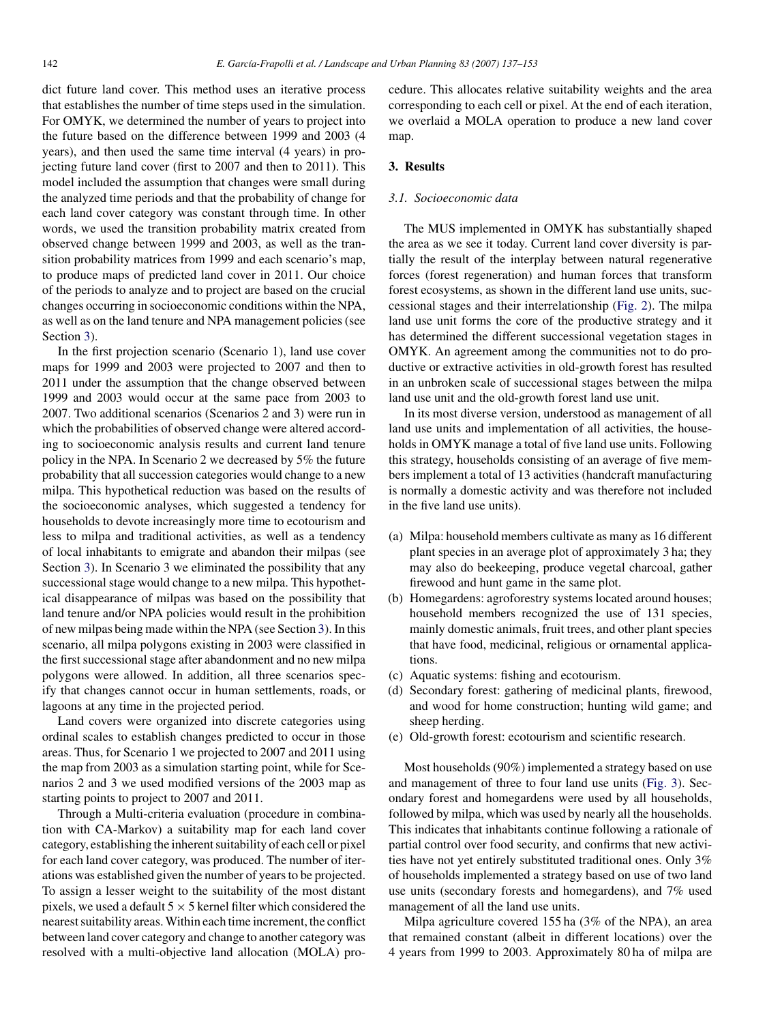dict future land cover. This method uses an iterative process that establishes the number of time steps used in the simulation. For OMYK, we determined the number of years to project into the future based on the difference between 1999 and 2003 (4 years), and then used the same time interval (4 years) in projecting future land cover (first to 2007 and then to 2011). This model included the assumption that changes were small during the analyzed time periods and that the probability of change for each land cover category was constant through time. In other words, we used the transition probability matrix created from observed change between 1999 and 2003, as well as the transition probability matrices from 1999 and each scenario's map, to produce maps of predicted land cover in 2011. Our choice of the periods to analyze and to project are based on the crucial changes occurring in socioeconomic conditions within the NPA, as well as on the land tenure and NPA management policies (see Section 3).

In the first projection scenario (Scenario 1), land use cover maps for 1999 and 2003 were projected to 2007 and then to 2011 under the assumption that the change observed between 1999 and 2003 would occur at the same pace from 2003 to 2007. Two additional scenarios (Scenarios 2 and 3) were run in which the probabilities of observed change were altered according to socioeconomic analysis results and current land tenure policy in the NPA. In Scenario 2 we decreased by 5% the future probability that all succession categories would change to a new milpa. This hypothetical reduction was based on the results of the socioeconomic analyses, which suggested a tendency for households to devote increasingly more time to ecotourism and less to milpa and traditional activities, as well as a tendency of local inhabitants to emigrate and abandon their milpas (see Section 3). In Scenario 3 we eliminated the possibility that any successional stage would change to a new milpa. This hypothetical disappearance of milpas was based on the possibility that land tenure and/or NPA policies would result in the prohibition of new milpas being made within the NPA (see Section 3). In this scenario, all milpa polygons existing in 2003 were classified in the first successional stage after abandonment and no new milpa polygons were allowed. In addition, all three scenarios specify that changes cannot occur in human settlements, roads, or lagoons at any time in the projected period.

Land covers were organized into discrete categories using ordinal scales to establish changes predicted to occur in those areas. Thus, for Scenario 1 we projected to 2007 and 2011 using the map from 2003 as a simulation starting point, while for Scenarios 2 and 3 we used modified versions of the 2003 map as starting points to project to 2007 and 2011.

Through a Multi-criteria evaluation (procedure in combination with CA-Markov) a suitability map for each land cover category, establishing the inherent suitability of each cell or pixel for each land cover category, was produced. The number of iterations was established given the number of years to be projected. To assign a lesser weight to the suitability of the most distant pixels, we used a default  $5 \times 5$  kernel filter which considered the nearest suitability areas. Within each time increment, the conflict between land cover category and change to another category was resolved with a multi-objective land allocation (MOLA) procedure. This allocates relative suitability weights and the area corresponding to each cell or pixel. At the end of each iteration, we overlaid a MOLA operation to produce a new land cover map.

## **3. Results**

### *3.1. Socioeconomic data*

The MUS implemented in OMYK has substantially shaped the area as we see it today. Current land cover diversity is partially the result of the interplay between natural regenerative forces (forest regeneration) and human forces that transform forest ecosystems, as shown in the different land use units, successional stages and their interrelationship [\(Fig. 2\).](#page-6-0) The milpa land use unit forms the core of the productive strategy and it has determined the different successional vegetation stages in OMYK. An agreement among the communities not to do productive or extractive activities in old-growth forest has resulted in an unbroken scale of successional stages between the milpa land use unit and the old-growth forest land use unit.

In its most diverse version, understood as management of all land use units and implementation of all activities, the households in OMYK manage a total of five land use units. Following this strategy, households consisting of an average of five members implement a total of 13 activities (handcraft manufacturing is normally a domestic activity and was therefore not included in the five land use units).

- (a) Milpa: household members cultivate as many as 16 different plant species in an average plot of approximately 3 ha; they may also do beekeeping, produce vegetal charcoal, gather firewood and hunt game in the same plot.
- (b) Homegardens: agroforestry systems located around houses; household members recognized the use of 131 species, mainly domestic animals, fruit trees, and other plant species that have food, medicinal, religious or ornamental applications.
- (c) Aquatic systems: fishing and ecotourism.
- (d) Secondary forest: gathering of medicinal plants, firewood, and wood for home construction; hunting wild game; and sheep herding.
- (e) Old-growth forest: ecotourism and scientific research.

Most households (90%) implemented a strategy based on use and management of three to four land use units [\(Fig. 3\).](#page-6-0) Secondary forest and homegardens were used by all households, followed by milpa, which was used by nearly all the households. This indicates that inhabitants continue following a rationale of partial control over food security, and confirms that new activities have not yet entirely substituted traditional ones. Only 3% of households implemented a strategy based on use of two land use units (secondary forests and homegardens), and 7% used management of all the land use units.

Milpa agriculture covered 155 ha (3% of the NPA), an area that remained constant (albeit in different locations) over the 4 years from 1999 to 2003. Approximately 80 ha of milpa are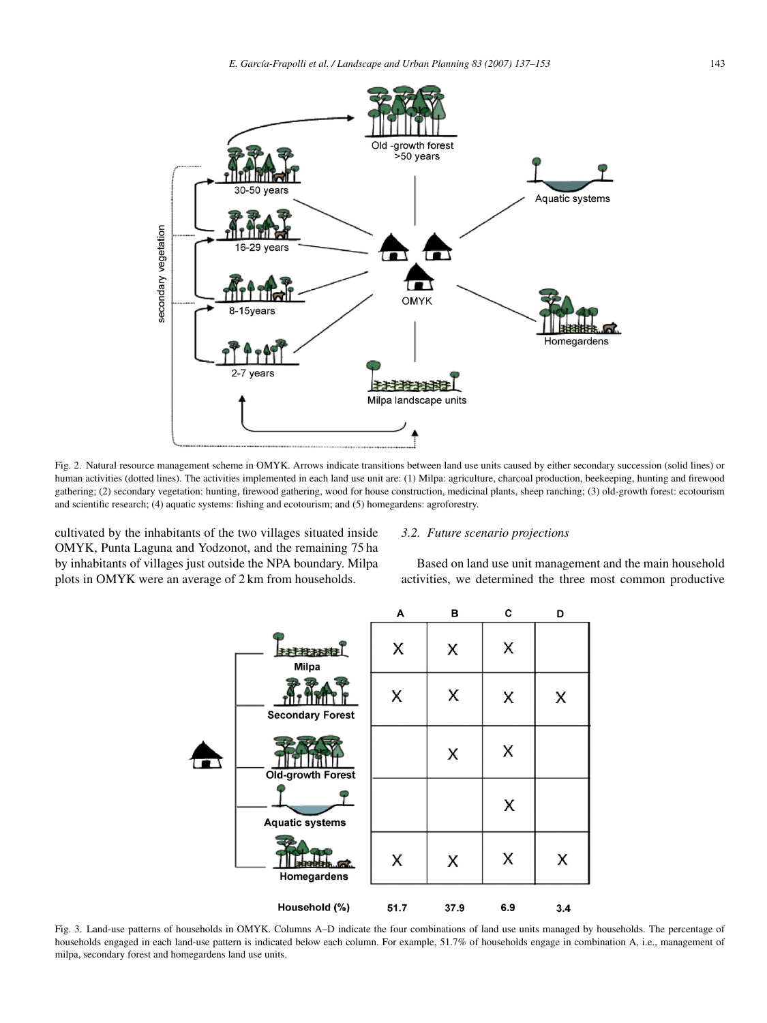<span id="page-6-0"></span>

Fig. 2. Natural resource management scheme in OMYK. Arrows indicate transitions between land use units caused by either secondary succession (solid lines) or human activities (dotted lines). The activities implemented in each land use unit are: (1) Milpa: agriculture, charcoal production, beekeeping, hunting and firewood gathering; (2) secondary vegetation: hunting, firewood gathering, wood for house construction, medicinal plants, sheep ranching; (3) old-growth forest: ecotourism and scientific research; (4) aquatic systems: fishing and ecotourism; and (5) homegardens: agroforestry.

cultivated by the inhabitants of the two villages situated inside OMYK, Punta Laguna and Yodzonot, and the remaining 75 ha by inhabitants of villages just outside the NPA boundary. Milpa plots in OMYK were an average of 2 km from households.

#### *3.2. Future scenario projections*

Based on land use unit management and the main household activities, we determined the three most common productive



Fig. 3. Land-use patterns of households in OMYK. Columns A–D indicate the four combinations of land use units managed by households. The percentage of households engaged in each land-use pattern is indicated below each column. For example, 51.7% of households engage in combination A, i.e., management of milpa, secondary forest and homegardens land use units.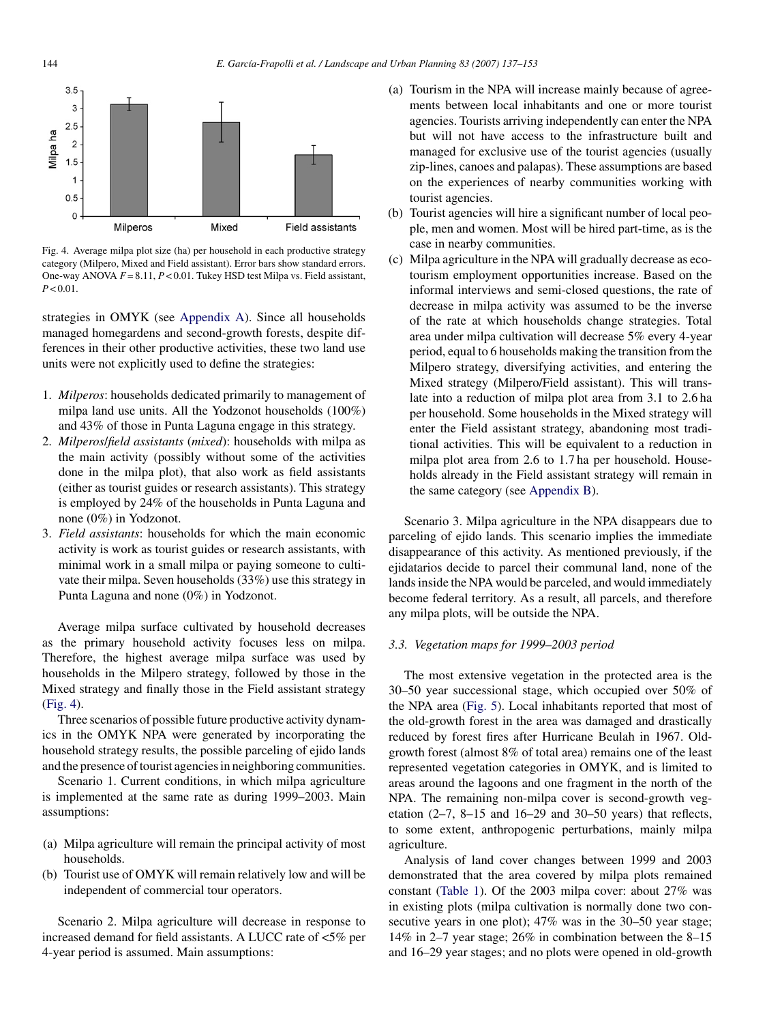

Fig. 4. Average milpa plot size (ha) per household in each productive strategy category (Milpero, Mixed and Field assistant). Error bars show standard errors. One-way ANOVA *F* = 8.11, *P* < 0.01. Tukey HSD test Milpa vs. Field assistant,  $P < 0.01$ .

strategies in OMYK (see [Appendix A\).](#page-13-0) Since all households managed homegardens and second-growth forests, despite differences in their other productive activities, these two land use units were not explicitly used to define the strategies:

- 1. *Milperos*: households dedicated primarily to management of milpa land use units. All the Yodzonot households (100%) and 43% of those in Punta Laguna engage in this strategy.
- 2. *Milperos*/*field assistants* (*mixed*): households with milpa as the main activity (possibly without some of the activities done in the milpa plot), that also work as field assistants (either as tourist guides or research assistants). This strategy is employed by 24% of the households in Punta Laguna and none (0%) in Yodzonot.
- 3. *Field assistants*: households for which the main economic activity is work as tourist guides or research assistants, with minimal work in a small milpa or paying someone to cultivate their milpa. Seven households (33%) use this strategy in Punta Laguna and none (0%) in Yodzonot.

Average milpa surface cultivated by household decreases as the primary household activity focuses less on milpa. Therefore, the highest average milpa surface was used by households in the Milpero strategy, followed by those in the Mixed strategy and finally those in the Field assistant strategy (Fig. 4).

Three scenarios of possible future productive activity dynamics in the OMYK NPA were generated by incorporating the household strategy results, the possible parceling of ejido lands and the presence of tourist agencies in neighboring communities.

Scenario 1. Current conditions, in which milpa agriculture is implemented at the same rate as during 1999–2003. Main assumptions:

- (a) Milpa agriculture will remain the principal activity of most households.
- (b) Tourist use of OMYK will remain relatively low and will be independent of commercial tour operators.

Scenario 2. Milpa agriculture will decrease in response to increased demand for field assistants. A LUCC rate of <5% per 4-year period is assumed. Main assumptions:

- (a) Tourism in the NPA will increase mainly because of agreements between local inhabitants and one or more tourist agencies. Tourists arriving independently can enter the NPA but will not have access to the infrastructure built and managed for exclusive use of the tourist agencies (usually zip-lines, canoes and palapas). These assumptions are based on the experiences of nearby communities working with tourist agencies.
- (b) Tourist agencies will hire a significant number of local people, men and women. Most will be hired part-time, as is the case in nearby communities.
- (c) Milpa agriculture in the NPA will gradually decrease as ecotourism employment opportunities increase. Based on the informal interviews and semi-closed questions, the rate of decrease in milpa activity was assumed to be the inverse of the rate at which households change strategies. Total area under milpa cultivation will decrease 5% every 4-year period, equal to 6 households making the transition from the Milpero strategy, diversifying activities, and entering the Mixed strategy (Milpero/Field assistant). This will translate into a reduction of milpa plot area from 3.1 to 2.6 ha per household. Some households in the Mixed strategy will enter the Field assistant strategy, abandoning most traditional activities. This will be equivalent to a reduction in milpa plot area from 2.6 to 1.7 ha per household. Households already in the Field assistant strategy will remain in the same category (see [Appendix B\).](#page-14-0)

Scenario 3. Milpa agriculture in the NPA disappears due to parceling of ejido lands. This scenario implies the immediate disappearance of this activity. As mentioned previously, if the ejidatarios decide to parcel their communal land, none of the lands inside the NPA would be parceled, and would immediately become federal territory. As a result, all parcels, and therefore any milpa plots, will be outside the NPA.

### *3.3. Vegetation maps for 1999–2003 period*

The most extensive vegetation in the protected area is the 30–50 year successional stage, which occupied over 50% of the NPA area [\(Fig. 5\).](#page-8-0) Local inhabitants reported that most of the old-growth forest in the area was damaged and drastically reduced by forest fires after Hurricane Beulah in 1967. Oldgrowth forest (almost 8% of total area) remains one of the least represented vegetation categories in OMYK, and is limited to areas around the lagoons and one fragment in the north of the NPA. The remaining non-milpa cover is second-growth vegetation (2–7, 8–15 and 16–29 and 30–50 years) that reflects, to some extent, anthropogenic perturbations, mainly milpa agriculture.

Analysis of land cover changes between 1999 and 2003 demonstrated that the area covered by milpa plots remained constant ([Table 1\).](#page-8-0) Of the 2003 milpa cover: about 27% was in existing plots (milpa cultivation is normally done two consecutive years in one plot); 47% was in the 30–50 year stage; 14% in 2–7 year stage; 26% in combination between the 8–15 and 16–29 year stages; and no plots were opened in old-growth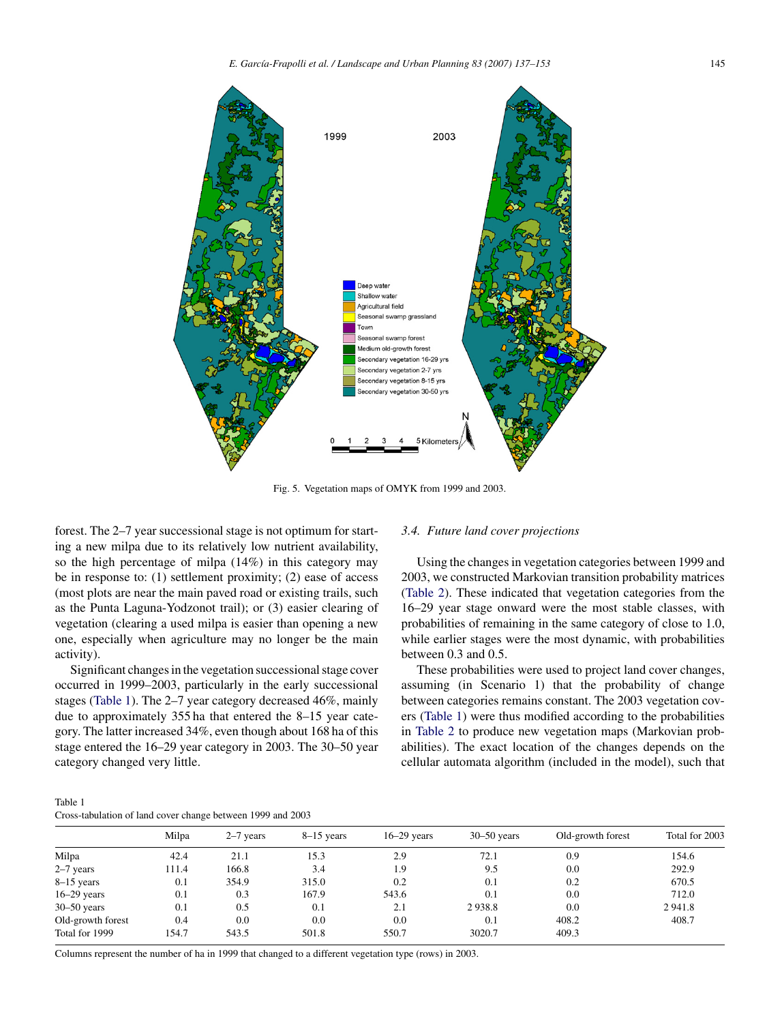<span id="page-8-0"></span>

Fig. 5. Vegetation maps of OMYK from 1999 and 2003.

forest. The 2–7 year successional stage is not optimum for starting a new milpa due to its relatively low nutrient availability, so the high percentage of milpa (14%) in this category may be in response to: (1) settlement proximity; (2) ease of access (most plots are near the main paved road or existing trails, such as the Punta Laguna-Yodzonot trail); or (3) easier clearing of vegetation (clearing a used milpa is easier than opening a new one, especially when agriculture may no longer be the main activity).

Significant changes in the vegetation successional stage cover occurred in 1999–2003, particularly in the early successional stages (Table 1). The 2–7 year category decreased 46%, mainly due to approximately 355 ha that entered the 8–15 year category. The latter increased 34%, even though about 168 ha of this stage entered the 16–29 year category in 2003. The 30–50 year category changed very little.

#### *3.4. Future land cover projections*

Using the changes in vegetation categories between 1999 and 2003, we constructed Markovian transition probability matrices ([Table 2\).](#page-9-0) These indicated that vegetation categories from the 16–29 year stage onward were the most stable classes, with probabilities of remaining in the same category of close to 1.0, while earlier stages were the most dynamic, with probabilities between 0.3 and 0.5.

These probabilities were used to project land cover changes, assuming (in Scenario 1) that the probability of change between categories remains constant. The 2003 vegetation covers (Table 1) were thus modified according to the probabilities in [Table 2](#page-9-0) to produce new vegetation maps (Markovian probabilities). The exact location of the changes depends on the cellular automata algorithm (included in the model), such that

Table 1 Cross-tabulation of land cover change between 1999 and 2003

|                   | Milpa | $2-7$ years | $8-15$ years | $16-29$ years | $30 - 50$ years | Old-growth forest | Total for 2003 |
|-------------------|-------|-------------|--------------|---------------|-----------------|-------------------|----------------|
| Milpa             | 42.4  | 21.1        | 15.3         | 2.9           | 72.1            | 0.9               | 154.6          |
| $2-7$ years       | 111.4 | 166.8       | 3.4          | 1.9           | 9.5             | 0.0               | 292.9          |
| $8-15$ years      | 0.1   | 354.9       | 315.0        | 0.2           | 0.1             | 0.2               | 670.5          |
| $16-29$ years     | 0.1   | 0.3         | 167.9        | 543.6         | 0.1             | 0.0               | 712.0          |
| $30-50$ years     | 0.1   | 0.5         | 0.1          | 2.1           | 2938.8          | 0.0               | 2941.8         |
| Old-growth forest | 0.4   | 0.0         | 0.0          | 0.0           | 0.1             | 408.2             | 408.7          |
| Total for 1999    | 154.7 | 543.5       | 501.8        | 550.7         | 3020.7          | 409.3             |                |
|                   |       |             |              |               |                 |                   |                |

Columns represent the number of ha in 1999 that changed to a different vegetation type (rows) in 2003.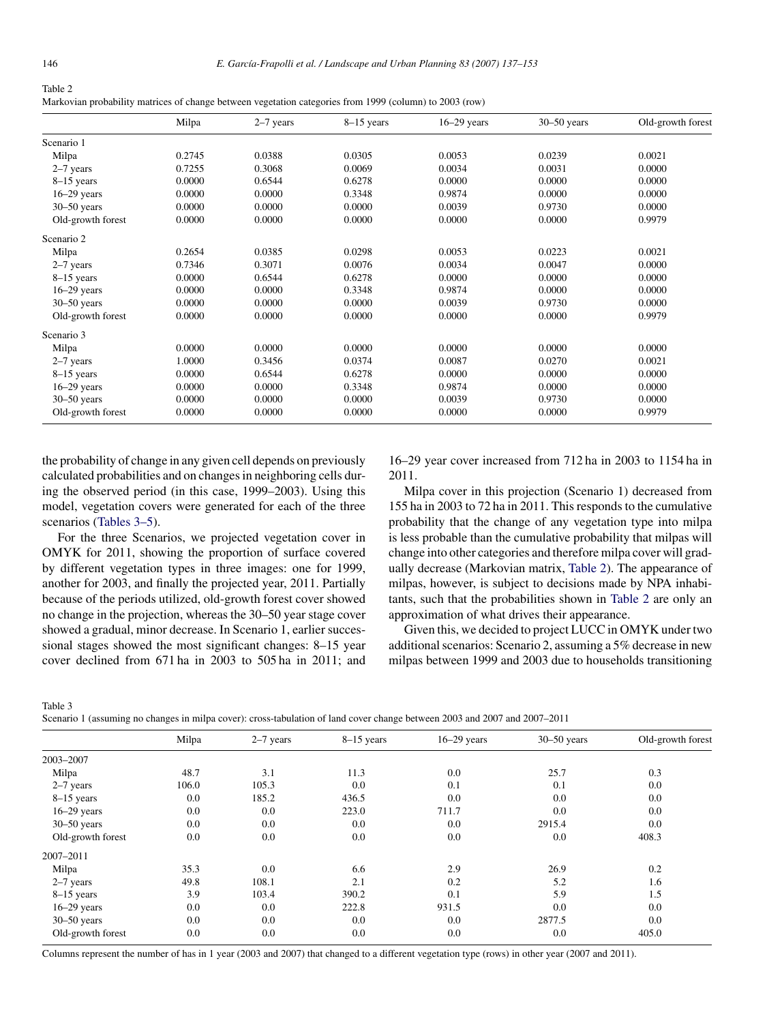<span id="page-9-0"></span>

| Table 2                                                                                                 |
|---------------------------------------------------------------------------------------------------------|
| Markovian probability matrices of change between vegetation categories from 1999 (column) to 2003 (row) |

|                   | Milpa  | $2-7$ years | $8-15$ years | $16-29$ years | $30 - 50$ years | Old-growth forest |
|-------------------|--------|-------------|--------------|---------------|-----------------|-------------------|
| Scenario 1        |        |             |              |               |                 |                   |
| Milpa             | 0.2745 | 0.0388      | 0.0305       | 0.0053        | 0.0239          | 0.0021            |
| $2-7$ years       | 0.7255 | 0.3068      | 0.0069       | 0.0034        | 0.0031          | 0.0000            |
| $8-15$ years      | 0.0000 | 0.6544      | 0.6278       | 0.0000        | 0.0000          | 0.0000            |
| $16-29$ years     | 0.0000 | 0.0000      | 0.3348       | 0.9874        | 0.0000          | 0.0000            |
| $30 - 50$ years   | 0.0000 | 0.0000      | 0.0000       | 0.0039        | 0.9730          | 0.0000            |
| Old-growth forest | 0.0000 | 0.0000      | 0.0000       | 0.0000        | 0.0000          | 0.9979            |
| Scenario 2        |        |             |              |               |                 |                   |
| Milpa             | 0.2654 | 0.0385      | 0.0298       | 0.0053        | 0.0223          | 0.0021            |
| $2-7$ years       | 0.7346 | 0.3071      | 0.0076       | 0.0034        | 0.0047          | 0.0000            |
| $8-15$ years      | 0.0000 | 0.6544      | 0.6278       | 0.0000        | 0.0000          | 0.0000            |
| $16-29$ years     | 0.0000 | 0.0000      | 0.3348       | 0.9874        | 0.0000          | 0.0000            |
| $30 - 50$ years   | 0.0000 | 0.0000      | 0.0000       | 0.0039        | 0.9730          | 0.0000            |
| Old-growth forest | 0.0000 | 0.0000      | 0.0000       | 0.0000        | 0.0000          | 0.9979            |
| Scenario 3        |        |             |              |               |                 |                   |
| Milpa             | 0.0000 | 0.0000      | 0.0000       | 0.0000        | 0.0000          | 0.0000            |
| $2-7$ years       | 1.0000 | 0.3456      | 0.0374       | 0.0087        | 0.0270          | 0.0021            |
| $8-15$ years      | 0.0000 | 0.6544      | 0.6278       | 0.0000        | 0.0000          | 0.0000            |
| $16-29$ years     | 0.0000 | 0.0000      | 0.3348       | 0.9874        | 0.0000          | 0.0000            |
| $30 - 50$ years   | 0.0000 | 0.0000      | 0.0000       | 0.0039        | 0.9730          | 0.0000            |
| Old-growth forest | 0.0000 | 0.0000      | 0.0000       | 0.0000        | 0.0000          | 0.9979            |

the probability of change in any given cell depends on previously calculated probabilities and on changes in neighboring cells during the observed period (in this case, 1999–2003). Using this model, vegetation covers were generated for each of the three scenarios (Tables 3–5).

For the three Scenarios, we projected vegetation cover in OMYK for 2011, showing the proportion of surface covered by different vegetation types in three images: one for 1999, another for 2003, and finally the projected year, 2011. Partially because of the periods utilized, old-growth forest cover showed no change in the projection, whereas the 30–50 year stage cover showed a gradual, minor decrease. In Scenario 1, earlier successional stages showed the most significant changes: 8–15 year cover declined from 671 ha in 2003 to 505 ha in 2011; and 16–29 year cover increased from 712 ha in 2003 to 1154 ha in 2011.

Milpa cover in this projection (Scenario 1) decreased from 155 ha in 2003 to 72 ha in 2011. This responds to the cumulative probability that the change of any vegetation type into milpa is less probable than the cumulative probability that milpas will change into other categories and therefore milpa cover will gradually decrease (Markovian matrix, Table 2). The appearance of milpas, however, is subject to decisions made by NPA inhabitants, such that the probabilities shown in Table 2 are only an approximation of what drives their appearance.

Given this, we decided to project LUCC in OMYK under two additional scenarios: Scenario 2, assuming a 5% decrease in new milpas between 1999 and 2003 due to households transitioning

Table 3

|  |  |  |  | Scenario 1 (assuming no changes in milpa cover): cross-tabulation of land cover change between 2003 and 2007 and 2007–2011 |  |  |  |  |  |  |
|--|--|--|--|----------------------------------------------------------------------------------------------------------------------------|--|--|--|--|--|--|
|--|--|--|--|----------------------------------------------------------------------------------------------------------------------------|--|--|--|--|--|--|

|                   | Milpa | $2-7$ years | $8-15$ years | $16-29$ years | $30 - 50$ years | Old-growth forest |
|-------------------|-------|-------------|--------------|---------------|-----------------|-------------------|
| 2003-2007         |       |             |              |               |                 |                   |
| Milpa             | 48.7  | 3.1         | 11.3         | 0.0           | 25.7            | 0.3               |
| $2-7$ years       | 106.0 | 105.3       | 0.0          | 0.1           | 0.1             | 0.0               |
| $8-15$ years      | 0.0   | 185.2       | 436.5        | 0.0           | 0.0             | 0.0               |
| $16-29$ years     | 0.0   | $0.0\,$     | 223.0        | 711.7         | 0.0             | 0.0               |
| $30 - 50$ years   | 0.0   | $0.0\,$     | 0.0          | 0.0           | 2915.4          | 0.0               |
| Old-growth forest | 0.0   | $0.0\,$     | 0.0          | 0.0           | 0.0             | 408.3             |
| 2007-2011         |       |             |              |               |                 |                   |
| Milpa             | 35.3  | 0.0         | 6.6          | 2.9           | 26.9            | 0.2               |
| $2-7$ years       | 49.8  | 108.1       | 2.1          | 0.2           | 5.2             | 1.6               |
| $8-15$ years      | 3.9   | 103.4       | 390.2        | 0.1           | 5.9             | 1.5               |
| $16-29$ years     | 0.0   | $0.0\,$     | 222.8        | 931.5         | 0.0             | 0.0               |
| $30 - 50$ years   | 0.0   | $0.0\,$     | 0.0          | 0.0           | 2877.5          | $0.0\,$           |
| Old-growth forest | 0.0   | $0.0\,$     | 0.0          | 0.0           | 0.0             | 405.0             |

Columns represent the number of has in 1 year (2003 and 2007) that changed to a different vegetation type (rows) in other year (2007 and 2011).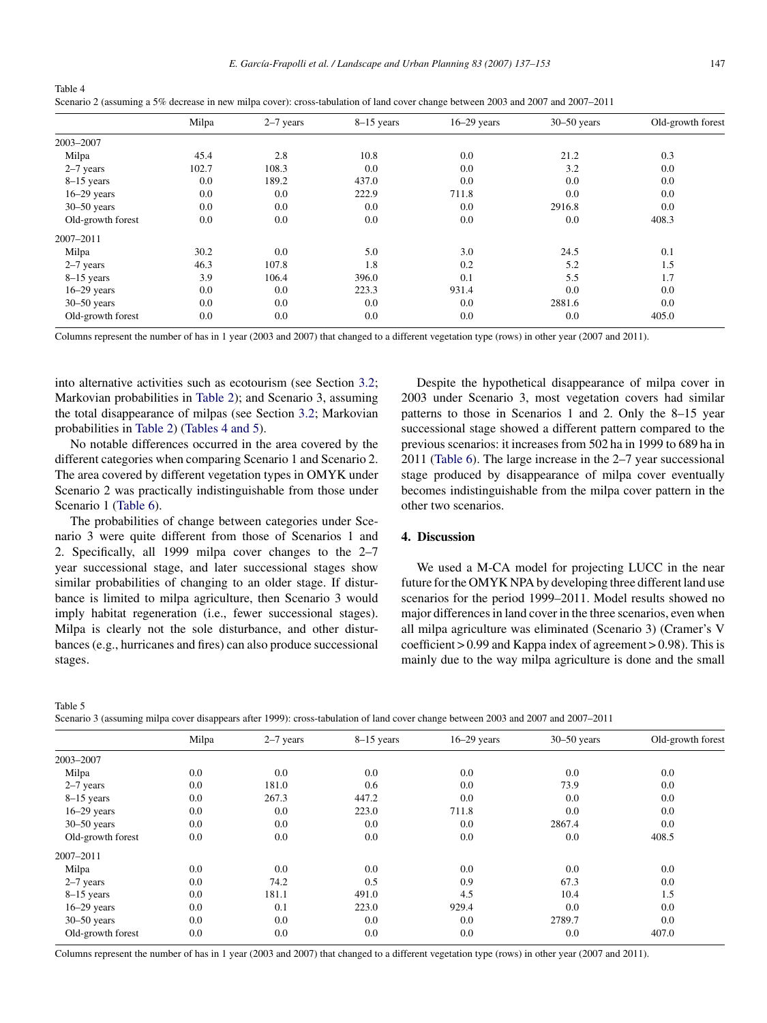| Table 4                                                                                                                           |
|-----------------------------------------------------------------------------------------------------------------------------------|
| Scenario 2 (assuming a 5% decrease in new milpa cover): cross-tabulation of land cover change between 2003 and 2007 and 2007-2011 |

|                   | Milpa | $2-7$ years | $8-15$ years | $16-29$ years | $30 - 50$ years | Old-growth forest |
|-------------------|-------|-------------|--------------|---------------|-----------------|-------------------|
| 2003-2007         |       |             |              |               |                 |                   |
| Milpa             | 45.4  | 2.8         | 10.8         | 0.0           | 21.2            | 0.3               |
| $2-7$ years       | 102.7 | 108.3       | 0.0          | 0.0           | 3.2             | 0.0               |
| $8-15$ years      | 0.0   | 189.2       | 437.0        | 0.0           | 0.0             | 0.0               |
| $16-29$ years     | 0.0   | 0.0         | 222.9        | 711.8         | 0.0             | 0.0               |
| $30 - 50$ years   | 0.0   | 0.0         | $0.0\,$      | 0.0           | 2916.8          | 0.0               |
| Old-growth forest | 0.0   | 0.0         | 0.0          | 0.0           | 0.0             | 408.3             |
| 2007-2011         |       |             |              |               |                 |                   |
| Milpa             | 30.2  | 0.0         | 5.0          | 3.0           | 24.5            | 0.1               |
| $2-7$ years       | 46.3  | 107.8       | 1.8          | 0.2           | 5.2             | 1.5               |
| $8-15$ years      | 3.9   | 106.4       | 396.0        | 0.1           | 5.5             | 1.7               |
| $16-29$ years     | 0.0   | 0.0         | 223.3        | 931.4         | 0.0             | 0.0               |
| $30 - 50$ years   | 0.0   | 0.0         | 0.0          | 0.0           | 2881.6          | 0.0               |
| Old-growth forest | 0.0   | 0.0         | 0.0          | 0.0           | 0.0             | 405.0             |

Columns represent the number of has in 1 year (2003 and 2007) that changed to a different vegetation type (rows) in other year (2007 and 2011).

into alternative activities such as ecotourism (see Section [3.2;](#page-6-0) Markovian probabilities in [Table 2\);](#page-9-0) and Scenario 3, assuming the total disappearance of milpas (see Section [3.2;](#page-6-0) Markovian probabilities in [Table 2\)](#page-9-0) (Tables 4 and 5).

No notable differences occurred in the area covered by the different categories when comparing Scenario 1 and Scenario 2. The area covered by different vegetation types in OMYK under Scenario 2 was practically indistinguishable from those under Scenario 1 ([Table 6\).](#page-11-0)

The probabilities of change between categories under Scenario 3 were quite different from those of Scenarios 1 and 2. Specifically, all 1999 milpa cover changes to the 2–7 year successional stage, and later successional stages show similar probabilities of changing to an older stage. If disturbance is limited to milpa agriculture, then Scenario 3 would imply habitat regeneration (i.e., fewer successional stages). Milpa is clearly not the sole disturbance, and other disturbances (e.g., hurricanes and fires) can also produce successional stages.

Despite the hypothetical disappearance of milpa cover in 2003 under Scenario 3, most vegetation covers had similar patterns to those in Scenarios 1 and 2. Only the 8–15 year successional stage showed a different pattern compared to the previous scenarios: it increases from 502 ha in 1999 to 689 ha in 2011 [\(Table 6\).](#page-11-0) The large increase in the 2–7 year successional stage produced by disappearance of milpa cover eventually becomes indistinguishable from the milpa cover pattern in the other two scenarios.

# **4. Discussion**

We used a M-CA model for projecting LUCC in the near future for the OMYK NPA by developing three different land use scenarios for the period 1999–2011. Model results showed no major differences in land cover in the three scenarios, even when all milpa agriculture was eliminated (Scenario 3) (Cramer's V coefficient > 0.99 and Kappa index of agreement > 0.98). This is mainly due to the way milpa agriculture is done and the small

Table 5

Scenario 3 (assuming milpa cover disappears after 1999): cross-tabulation of land cover change between 2003 and 2007 and 2007–2011

|                   | Milpa | $2-7$ years | $8-15$ years | $16-29$ years | $30 - 50$ years | Old-growth forest |
|-------------------|-------|-------------|--------------|---------------|-----------------|-------------------|
| 2003-2007         |       |             |              |               |                 |                   |
| Milpa             | 0.0   | 0.0         | 0.0          | 0.0           | 0.0             | 0.0               |
| $2-7$ years       | 0.0   | 181.0       | 0.6          | 0.0           | 73.9            | 0.0               |
| $8-15$ years      | 0.0   | 267.3       | 447.2        | 0.0           | 0.0             | 0.0               |
| $16-29$ years     | 0.0   | 0.0         | 223.0        | 711.8         | 0.0             | 0.0               |
| $30-50$ years     | 0.0   | 0.0         | $0.0\,$      | 0.0           | 2867.4          | 0.0               |
| Old-growth forest | 0.0   | $0.0\,$     | $0.0\,$      | 0.0           | 0.0             | 408.5             |
| 2007-2011         |       |             |              |               |                 |                   |
| Milpa             | 0.0   | 0.0         | $0.0\,$      | 0.0           | 0.0             | 0.0               |
| $2-7$ years       | 0.0   | 74.2        | 0.5          | 0.9           | 67.3            | 0.0               |
| $8-15$ years      | 0.0   | 181.1       | 491.0        | 4.5           | 10.4            | 1.5               |
| $16-29$ years     | 0.0   | 0.1         | 223.0        | 929.4         | 0.0             | 0.0               |
| $30 - 50$ years   | 0.0   | 0.0         | $0.0\,$      | 0.0           | 2789.7          | 0.0               |
| Old-growth forest | 0.0   | 0.0         | 0.0          | 0.0           | 0.0             | 407.0             |
|                   |       |             |              |               |                 |                   |

Columns represent the number of has in 1 year (2003 and 2007) that changed to a different vegetation type (rows) in other year (2007 and 2011).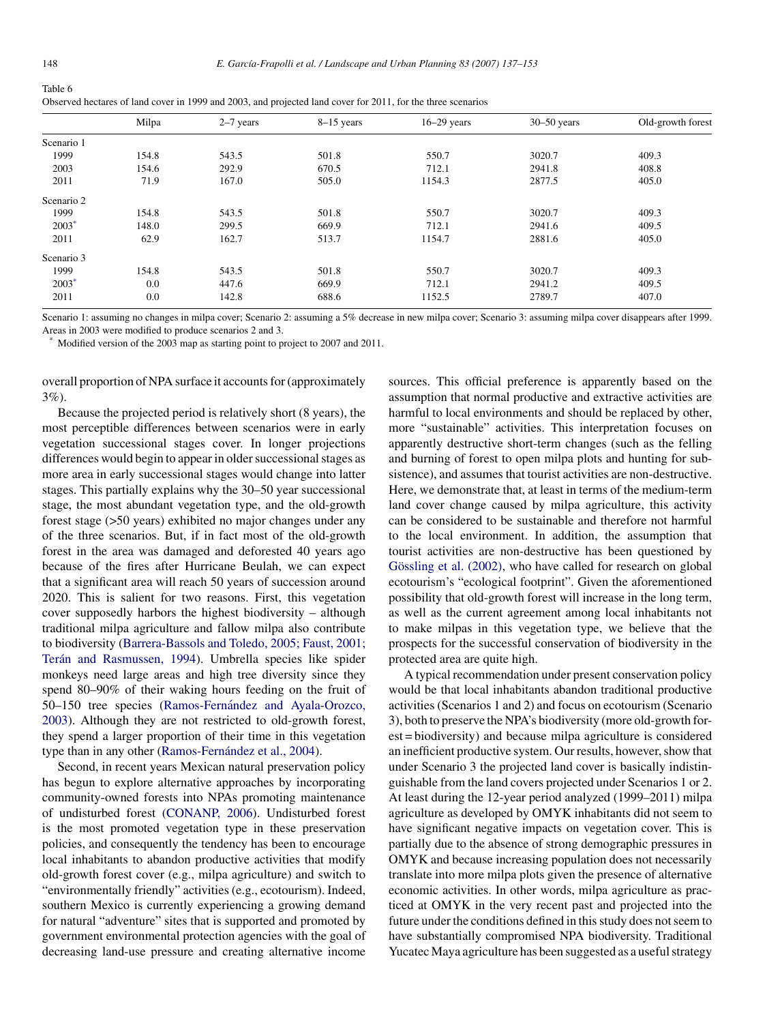<span id="page-11-0"></span>Table 6

|                     | Milpa | $2-7$ years | $8-15$ years | $16-29$ years | $30 - 50$ years | Old-growth forest |
|---------------------|-------|-------------|--------------|---------------|-----------------|-------------------|
| Scenario 1          |       |             |              |               |                 |                   |
| 1999                | 154.8 | 543.5       | 501.8        | 550.7         | 3020.7          | 409.3             |
| 2003                | 154.6 | 292.9       | 670.5        | 712.1         | 2941.8          | 408.8             |
| 2011                | 71.9  | 167.0       | 505.0        | 1154.3        | 2877.5          | 405.0             |
| Scenario 2          |       |             |              |               |                 |                   |
| 1999                | 154.8 | 543.5       | 501.8        | 550.7         | 3020.7          | 409.3             |
| $2003$ <sup>*</sup> | 148.0 | 299.5       | 669.9        | 712.1         | 2941.6          | 409.5             |
| 2011                | 62.9  | 162.7       | 513.7        | 1154.7        | 2881.6          | 405.0             |
| Scenario 3          |       |             |              |               |                 |                   |
| 1999                | 154.8 | 543.5       | 501.8        | 550.7         | 3020.7          | 409.3             |
| $2003$ <sup>*</sup> | 0.0   | 447.6       | 669.9        | 712.1         | 2941.2          | 409.5             |
| 2011                | 0.0   | 142.8       | 688.6        | 1152.5        | 2789.7          | 407.0             |

Scenario 1: assuming no changes in milpa cover; Scenario 2: assuming a 5% decrease in new milpa cover; Scenario 3: assuming milpa cover disappears after 1999. Areas in 2003 were modified to produce scenarios 2 and 3.

Modified version of the 2003 map as starting point to project to 2007 and 2011.

overall proportion of NPA surface it accounts for (approximately 3%).

Because the projected period is relatively short (8 years), the most perceptible differences between scenarios were in early vegetation successional stages cover. In longer projections differences would begin to appear in older successional stages as more area in early successional stages would change into latter stages. This partially explains why the 30–50 year successional stage, the most abundant vegetation type, and the old-growth forest stage (>50 years) exhibited no major changes under any of the three scenarios. But, if in fact most of the old-growth forest in the area was damaged and deforested 40 years ago because of the fires after Hurricane Beulah, we can expect that a significant area will reach 50 years of succession around 2020. This is salient for two reasons. First, this vegetation cover supposedly harbors the highest biodiversity – although traditional milpa agriculture and fallow milpa also contribute to biodiversity ([Barrera-Bassols and Toledo, 2005; Faust, 2001;](#page-15-0) Terán and Rasmussen, 1994). Umbrella species like spider monkeys need large areas and high tree diversity since they spend 80–90% of their waking hours feeding on the fruit of 50–150 tree species (Ramos-Fernández and Ayala-Orozco, [2003\).](#page-16-0) Although they are not restricted to old-growth forest, they spend a larger proportion of their time in this vegetation type than in any other (Ramos-Fernández et al., 2004).

Second, in recent years Mexican natural preservation policy has begun to explore alternative approaches by incorporating community-owned forests into NPAs promoting maintenance of undisturbed forest [\(CONANP, 2006\).](#page-15-0) Undisturbed forest is the most promoted vegetation type in these preservation policies, and consequently the tendency has been to encourage local inhabitants to abandon productive activities that modify old-growth forest cover (e.g., milpa agriculture) and switch to "environmentally friendly" activities (e.g., ecotourism). Indeed, southern Mexico is currently experiencing a growing demand for natural "adventure" sites that is supported and promoted by government environmental protection agencies with the goal of decreasing land-use pressure and creating alternative income

sources. This official preference is apparently based on the assumption that normal productive and extractive activities are harmful to local environments and should be replaced by other, more "sustainable" activities. This interpretation focuses on apparently destructive short-term changes (such as the felling and burning of forest to open milpa plots and hunting for subsistence), and assumes that tourist activities are non-destructive. Here, we demonstrate that, at least in terms of the medium-term land cover change caused by milpa agriculture, this activity can be considered to be sustainable and therefore not harmful to the local environment. In addition, the assumption that tourist activities are non-destructive has been questioned by Gössling et al. (2002), who have called for research on global ecotourism's "ecological footprint". Given the aforementioned possibility that old-growth forest will increase in the long term, as well as the current agreement among local inhabitants not to make milpas in this vegetation type, we believe that the prospects for the successful conservation of biodiversity in the protected area are quite high.

A typical recommendation under present conservation policy would be that local inhabitants abandon traditional productive activities (Scenarios 1 and 2) and focus on ecotourism (Scenario 3), both to preserve the NPA's biodiversity (more old-growth forest = biodiversity) and because milpa agriculture is considered an inefficient productive system. Our results, however, show that under Scenario 3 the projected land cover is basically indistinguishable from the land covers projected under Scenarios 1 or 2. At least during the 12-year period analyzed (1999–2011) milpa agriculture as developed by OMYK inhabitants did not seem to have significant negative impacts on vegetation cover. This is partially due to the absence of strong demographic pressures in OMYK and because increasing population does not necessarily translate into more milpa plots given the presence of alternative economic activities. In other words, milpa agriculture as practiced at OMYK in the very recent past and projected into the future under the conditions defined in this study does not seem to have substantially compromised NPA biodiversity. Traditional Yucatec Maya agriculture has been suggested as a useful strategy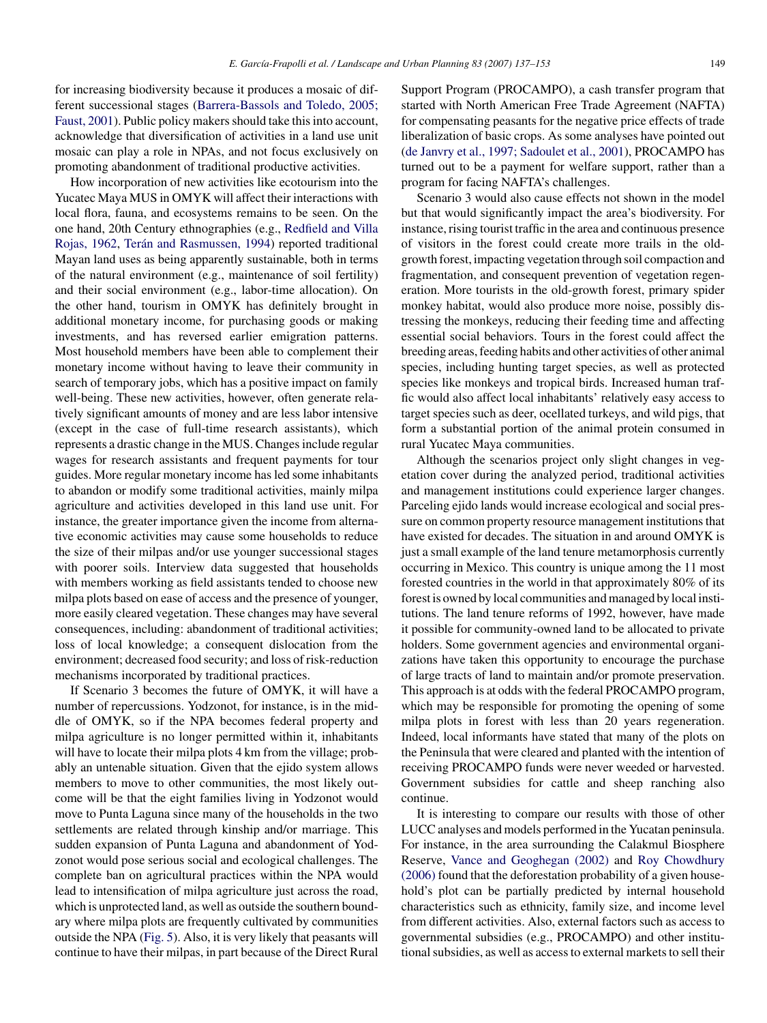for increasing biodiversity because it produces a mosaic of different successional stages [\(Barrera-Bassols and Toledo, 2005;](#page-15-0) [Faust, 2001\).](#page-15-0) Public policy makers should take this into account, acknowledge that diversification of activities in a land use unit mosaic can play a role in NPAs, and not focus exclusively on promoting abandonment of traditional productive activities.

How incorporation of new activities like ecotourism into the Yucatec Maya MUS in OMYK will affect their interactions with local flora, fauna, and ecosystems remains to be seen. On the one hand, 20th Century ethnographies (e.g., [Redfield and Villa](#page-16-0) [Rojas, 1962,](#page-16-0) Terán and Rasmussen, 1994) reported traditional Mayan land uses as being apparently sustainable, both in terms of the natural environment (e.g., maintenance of soil fertility) and their social environment (e.g., labor-time allocation). On the other hand, tourism in OMYK has definitely brought in additional monetary income, for purchasing goods or making investments, and has reversed earlier emigration patterns. Most household members have been able to complement their monetary income without having to leave their community in search of temporary jobs, which has a positive impact on family well-being. These new activities, however, often generate relatively significant amounts of money and are less labor intensive (except in the case of full-time research assistants), which represents a drastic change in the MUS. Changes include regular wages for research assistants and frequent payments for tour guides. More regular monetary income has led some inhabitants to abandon or modify some traditional activities, mainly milpa agriculture and activities developed in this land use unit. For instance, the greater importance given the income from alternative economic activities may cause some households to reduce the size of their milpas and/or use younger successional stages with poorer soils. Interview data suggested that households with members working as field assistants tended to choose new milpa plots based on ease of access and the presence of younger, more easily cleared vegetation. These changes may have several consequences, including: abandonment of traditional activities; loss of local knowledge; a consequent dislocation from the environment; decreased food security; and loss of risk-reduction mechanisms incorporated by traditional practices.

If Scenario 3 becomes the future of OMYK, it will have a number of repercussions. Yodzonot, for instance, is in the middle of OMYK, so if the NPA becomes federal property and milpa agriculture is no longer permitted within it, inhabitants will have to locate their milpa plots 4 km from the village; probably an untenable situation. Given that the ejido system allows members to move to other communities, the most likely outcome will be that the eight families living in Yodzonot would move to Punta Laguna since many of the households in the two settlements are related through kinship and/or marriage. This sudden expansion of Punta Laguna and abandonment of Yodzonot would pose serious social and ecological challenges. The complete ban on agricultural practices within the NPA would lead to intensification of milpa agriculture just across the road, which is unprotected land, as well as outside the southern boundary where milpa plots are frequently cultivated by communities outside the NPA ([Fig. 5\).](#page-8-0) Also, it is very likely that peasants will continue to have their milpas, in part because of the Direct Rural

Support Program (PROCAMPO), a cash transfer program that started with North American Free Trade Agreement (NAFTA) for compensating peasants for the negative price effects of trade liberalization of basic crops. As some analyses have pointed out ([de Janvry et al., 1997; Sadoulet et al., 2001\),](#page-15-0) PROCAMPO has turned out to be a payment for welfare support, rather than a program for facing NAFTA's challenges.

Scenario 3 would also cause effects not shown in the model but that would significantly impact the area's biodiversity. For instance, rising tourist traffic in the area and continuous presence of visitors in the forest could create more trails in the oldgrowth forest, impacting vegetation through soil compaction and fragmentation, and consequent prevention of vegetation regeneration. More tourists in the old-growth forest, primary spider monkey habitat, would also produce more noise, possibly distressing the monkeys, reducing their feeding time and affecting essential social behaviors. Tours in the forest could affect the breeding areas, feeding habits and other activities of other animal species, including hunting target species, as well as protected species like monkeys and tropical birds. Increased human traffic would also affect local inhabitants' relatively easy access to target species such as deer, ocellated turkeys, and wild pigs, that form a substantial portion of the animal protein consumed in rural Yucatec Maya communities.

Although the scenarios project only slight changes in vegetation cover during the analyzed period, traditional activities and management institutions could experience larger changes. Parceling ejido lands would increase ecological and social pressure on common property resource management institutions that have existed for decades. The situation in and around OMYK is just a small example of the land tenure metamorphosis currently occurring in Mexico. This country is unique among the 11 most forested countries in the world in that approximately 80% of its forest is owned by local communities and managed by local institutions. The land tenure reforms of 1992, however, have made it possible for community-owned land to be allocated to private holders. Some government agencies and environmental organizations have taken this opportunity to encourage the purchase of large tracts of land to maintain and/or promote preservation. This approach is at odds with the federal PROCAMPO program, which may be responsible for promoting the opening of some milpa plots in forest with less than 20 years regeneration. Indeed, local informants have stated that many of the plots on the Peninsula that were cleared and planted with the intention of receiving PROCAMPO funds were never weeded or harvested. Government subsidies for cattle and sheep ranching also continue.

It is interesting to compare our results with those of other LUCC analyses and models performed in the Yucatan peninsula. For instance, in the area surrounding the Calakmul Biosphere Reserve, [Vance and Geoghegan \(2002\)](#page-16-0) and [Roy Chowdhury](#page-16-0) [\(2006\)](#page-16-0) found that the deforestation probability of a given household's plot can be partially predicted by internal household characteristics such as ethnicity, family size, and income level from different activities. Also, external factors such as access to governmental subsidies (e.g., PROCAMPO) and other institutional subsidies, as well as access to external markets to sell their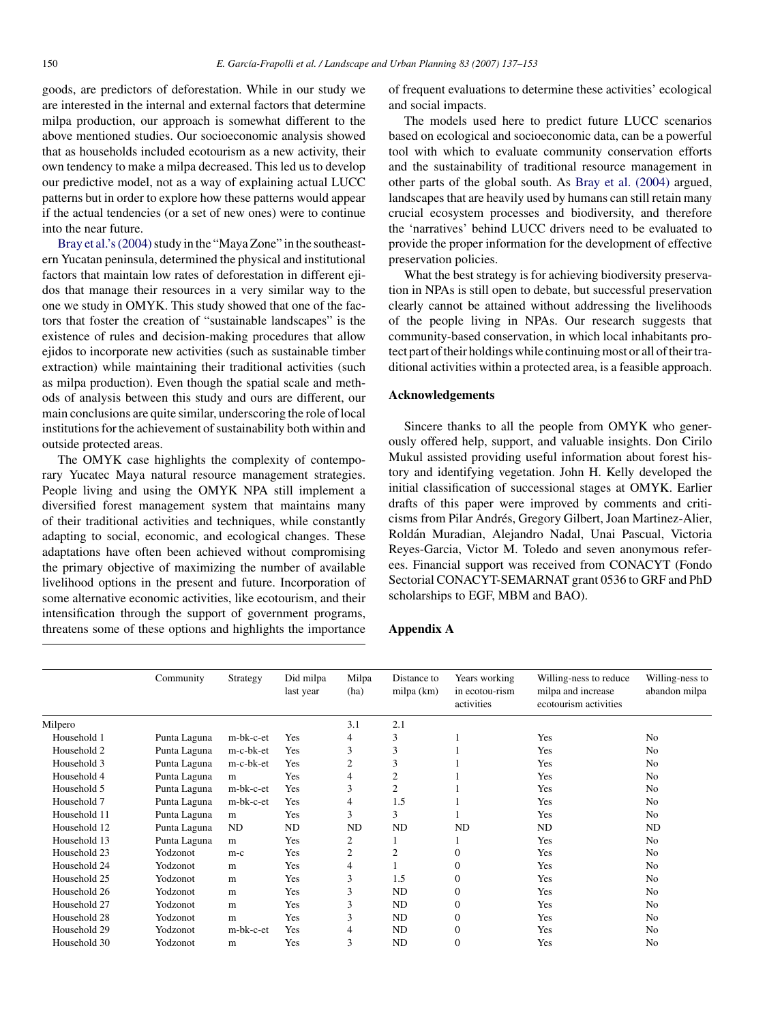<span id="page-13-0"></span>goods, are predictors of deforestation. While in our study we are interested in the internal and external factors that determine milpa production, our approach is somewhat different to the above mentioned studies. Our socioeconomic analysis showed that as households included ecotourism as a new activity, their own tendency to make a milpa decreased. This led us to develop our predictive model, not as a way of explaining actual LUCC patterns but in order to explore how these patterns would appear if the actual tendencies (or a set of new ones) were to continue into the near future.

Bray et al.'s (2004) study in the "Maya Zone" in the southeastern Yucatan peninsula, determined the physical and institutional factors that maintain low rates of deforestation in different ejidos that manage their resources in a very similar way to the one we study in OMYK. This study showed that one of the factors that foster the creation of "sustainable landscapes" is the existence of rules and decision-making procedures that allow ejidos to incorporate new activities (such as sustainable timber extraction) while maintaining their traditional activities (such as milpa production). Even though the spatial scale and methods of analysis between this study and ours are different, our main conclusions are quite similar, underscoring the role of local institutions for the achievement of sustainability both within and outside protected areas.

The OMYK case highlights the complexity of contemporary Yucatec Maya natural resource management strategies. People living and using the OMYK NPA still implement a diversified forest management system that maintains many of their traditional activities and techniques, while constantly adapting to social, economic, and ecological changes. These adaptations have often been achieved without compromising the primary objective of maximizing the number of available livelihood options in the present and future. Incorporation of some alternative economic activities, like ecotourism, and their intensification through the support of government programs, threatens some of these options and highlights the importance of frequent evaluations to determine these activities' ecological and social impacts.

The models used here to predict future LUCC scenarios based on ecological and socioeconomic data, can be a powerful tool with which to evaluate community conservation efforts and the sustainability of traditional resource management in other parts of the global south. As [Bray et al. \(2004\)](#page-15-0) argued, landscapes that are heavily used by humans can still retain many crucial ecosystem processes and biodiversity, and therefore the 'narratives' behind LUCC drivers need to be evaluated to provide the proper information for the development of effective preservation policies.

What the best strategy is for achieving biodiversity preservation in NPAs is still open to debate, but successful preservation clearly cannot be attained without addressing the livelihoods of the people living in NPAs. Our research suggests that community-based conservation, in which local inhabitants protect part of their holdings while continuing most or all of their traditional activities within a protected area, is a feasible approach.

#### **Acknowledgements**

Sincere thanks to all the people from OMYK who generously offered help, support, and valuable insights. Don Cirilo Mukul assisted providing useful information about forest history and identifying vegetation. John H. Kelly developed the initial classification of successional stages at OMYK. Earlier drafts of this paper were improved by comments and criticisms from Pilar Andrés, Gregory Gilbert, Joan Martinez-Alier, Roldan Muradian, Alejandro Nadal, Unai Pascual, Victoria ´ Reyes-Garcia, Victor M. Toledo and seven anonymous referees. Financial support was received from CONACYT (Fondo Sectorial CONACYT-SEMARNAT grant 0536 to GRF and PhD scholarships to EGF, MBM and BAO).

# **Appendix A**

|              | Community    | Strategy  | Did milpa<br>last year | Milpa<br>(ha)  | Distance to<br>milpa (km) | Years working<br>in ecotou-rism<br>activities | Willing-ness to reduce<br>milpa and increase<br>ecotourism activities | Willing-ness to<br>abandon milpa |
|--------------|--------------|-----------|------------------------|----------------|---------------------------|-----------------------------------------------|-----------------------------------------------------------------------|----------------------------------|
| Milpero      |              |           |                        | 3.1            | 2.1                       |                                               |                                                                       |                                  |
| Household 1  | Punta Laguna | m-bk-c-et | Yes                    | 4              | 3                         |                                               | Yes                                                                   | No                               |
| Household 2  | Punta Laguna | m-c-bk-et | Yes                    | 3              | 3                         |                                               | Yes                                                                   | No                               |
| Household 3  | Punta Laguna | m-c-bk-et | Yes                    | $\mathfrak{2}$ | 3                         |                                               | Yes                                                                   | No                               |
| Household 4  | Punta Laguna | m         | Yes                    | 4              | 2                         |                                               | Yes                                                                   | No                               |
| Household 5  | Punta Laguna | m-bk-c-et | Yes                    | 3              | $\overline{c}$            |                                               | Yes                                                                   | No                               |
| Household 7  | Punta Laguna | m-bk-c-et | Yes                    | 4              | 1.5                       |                                               | Yes                                                                   | No                               |
| Household 11 | Punta Laguna | m         | Yes                    | 3              | 3                         |                                               | Yes                                                                   | N <sub>0</sub>                   |
| Household 12 | Punta Laguna | ND        | ND                     | ND             | ND                        | ND                                            | ND                                                                    | ND                               |
| Household 13 | Punta Laguna | m         | Yes                    | 2              |                           |                                               | Yes                                                                   | No                               |
| Household 23 | Yodzonot     | $m-c$     | Yes                    | 2              | $\overline{2}$            | $\overline{0}$                                | Yes                                                                   | N <sub>0</sub>                   |
| Household 24 | Yodzonot     | m         | Yes                    | 4              |                           | $\overline{0}$                                | Yes                                                                   | No                               |
| Household 25 | Yodzonot     | m         | Yes                    | 3              | 1.5                       | $\mathbf{0}$                                  | Yes                                                                   | No                               |
| Household 26 | Yodzonot     | m         | Yes                    | 3              | ND                        | $\mathbf{0}$                                  | Yes                                                                   | No                               |
| Household 27 | Yodzonot     | m         | Yes                    | 3              | ND                        | $\overline{0}$                                | Yes                                                                   | No                               |
| Household 28 | Yodzonot     | m         | Yes                    | 3              | N <sub>D</sub>            | $\overline{0}$                                | Yes                                                                   | No                               |
| Household 29 | Yodzonot     | m-bk-c-et | Yes                    | 4              | ND                        | $\overline{0}$                                | Yes                                                                   | No                               |
| Household 30 | Yodzonot     | m         | Yes                    | 3              | ND                        | $\mathbf{0}$                                  | Yes                                                                   | No                               |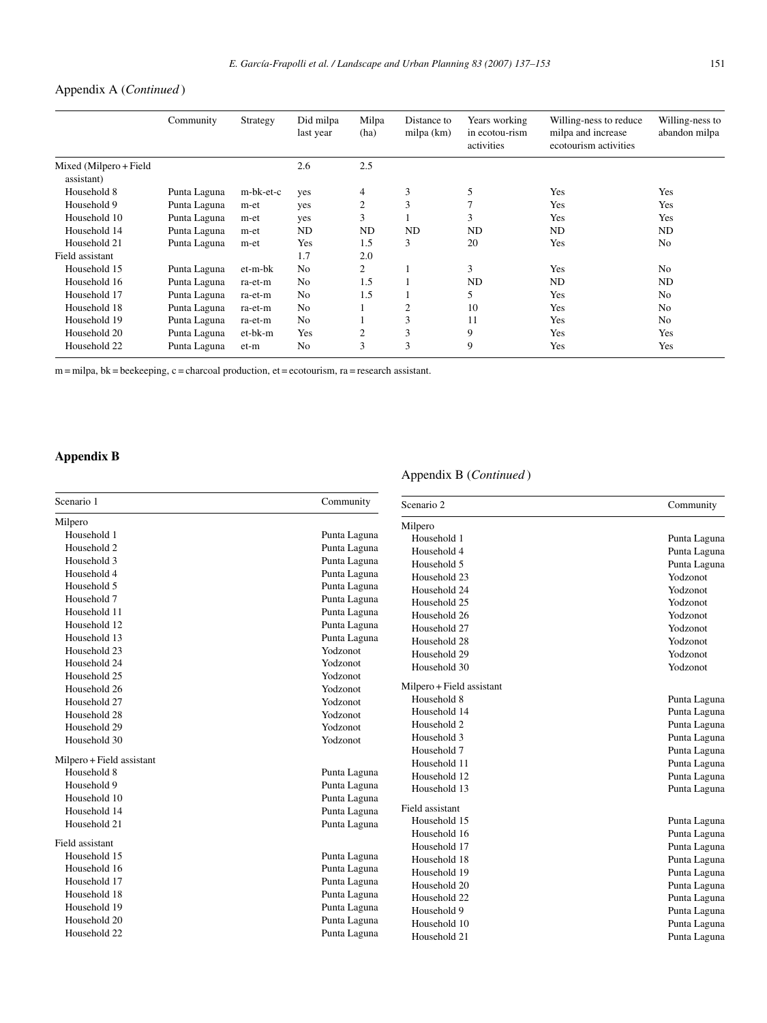# <span id="page-14-0"></span>Appendix A (*Continued* )

|                        | Community    | Strategy  | Did milpa<br>last year | Milpa<br>(ha) | Distance to<br>milpa (km) | Years working<br>in ecotou-rism<br>activities | Willing-ness to reduce<br>milpa and increase<br>ecotourism activities | Willing-ness to<br>abandon milpa |
|------------------------|--------------|-----------|------------------------|---------------|---------------------------|-----------------------------------------------|-----------------------------------------------------------------------|----------------------------------|
| Mixed (Milpero + Field |              |           | 2.6                    | 2.5           |                           |                                               |                                                                       |                                  |
| assistant)             |              |           |                        |               |                           |                                               |                                                                       |                                  |
| Household 8            | Punta Laguna | m-bk-et-c | yes                    | 4             | 3                         | 5                                             | Yes                                                                   | Yes                              |
| Household 9            | Punta Laguna | m-et      | yes                    | 2             | 3                         | $\overline{ }$                                | Yes                                                                   | Yes                              |
| Household 10           | Punta Laguna | m-et      | yes                    | 3             |                           | 3                                             | Yes                                                                   | Yes                              |
| Household 14           | Punta Laguna | m-et      | ND                     | ND            | ND                        | <b>ND</b>                                     | <b>ND</b>                                                             | ND                               |
| Household 21           | Punta Laguna | m-et      | Yes                    | 1.5           | 3                         | 20                                            | Yes                                                                   | No                               |
| Field assistant        |              |           | 1.7                    | 2.0           |                           |                                               |                                                                       |                                  |
| Household 15           | Punta Laguna | et-m-bk   | No                     | 2             |                           | 3                                             | Yes                                                                   | No                               |
| Household 16           | Punta Laguna | ra-et-m   | N <sub>0</sub>         | 1.5           |                           | <b>ND</b>                                     | ND                                                                    | ND                               |
| Household 17           | Punta Laguna | ra-et-m   | N <sub>0</sub>         | 1.5           |                           | 5                                             | Yes                                                                   | No                               |
| Household 18           | Punta Laguna | ra-et-m   | N <sub>0</sub>         |               | $\overline{2}$            | 10                                            | Yes                                                                   | No                               |
| Household 19           | Punta Laguna | ra-et-m   | N <sub>0</sub>         |               | 3                         | 11                                            | Yes                                                                   | No                               |
| Household 20           | Punta Laguna | et-bk-m   | Yes                    | 2             | 3                         | 9                                             | Yes                                                                   | Yes                              |
| Household 22           | Punta Laguna | et-m      | No                     | 3             | 3                         | 9                                             | Yes                                                                   | Yes                              |

m = milpa, bk = beekeeping, c = charcoal production, et = ecotourism, ra = research assistant.

# **Appendix B**

# Appendix B (*Continued* )

| Scenario 1                | Community    | Scenario 2                  | Community    |
|---------------------------|--------------|-----------------------------|--------------|
| Milpero                   |              | Milpero                     |              |
| Household 1               | Punta Laguna | Household 1                 | Punta Laguna |
| Household 2               | Punta Laguna | Household 4                 | Punta Laguna |
| Household 3               | Punta Laguna | Household 5                 | Punta Laguna |
| Household 4               | Punta Laguna | Household 23                | Yodzonot     |
| Household 5               | Punta Laguna | Household 24                | Yodzonot     |
| Household 7               | Punta Laguna | Household 25                | Yodzonot     |
| Household 11              | Punta Laguna | Household 26                | Yodzonot     |
| Household 12              | Punta Laguna | Household 27                | Yodzonot     |
| Household 13              | Punta Laguna | Household 28                | Yodzonot     |
| Household 23              | Yodzonot     | Household 29                | Yodzonot     |
| Household 24              | Yodzonot     | Household 30                | Yodzonot     |
| Household 25              | Yodzonot     |                             |              |
| Household 26              | Yodzonot     | Milpero + Field assistant   |              |
| Household 27              | Yodzonot     | Household 8                 | Punta Laguna |
| Household 28              | Yodzonot     | Household 14                | Punta Laguna |
| Household 29              | Yodzonot     | Household 2                 | Punta Laguna |
| Household 30              | Yodzonot     | Household 3                 | Punta Laguna |
| Milpero + Field assistant |              | Household 7<br>Household 11 | Punta Laguna |
| Household 8               | Punta Laguna |                             | Punta Laguna |
| Household 9               | Punta Laguna | Household 12                | Punta Laguna |
| Household 10              | Punta Laguna | Household 13                | Punta Laguna |
| Household 14              | Punta Laguna | Field assistant             |              |
| Household 21              | Punta Laguna | Household 15                | Punta Laguna |
|                           |              | Household 16                | Punta Laguna |
| Field assistant           |              | Household 17                | Punta Laguna |
| Household 15              | Punta Laguna | Household 18                | Punta Laguna |
| Household 16              | Punta Laguna | Household 19                | Punta Laguna |
| Household 17              | Punta Laguna | Household 20                | Punta Laguna |
| Household 18              | Punta Laguna | Household 22                | Punta Laguna |
| Household 19              | Punta Laguna | Household 9                 | Punta Laguna |
| Household 20              | Punta Laguna | Household 10                | Punta Laguna |
| Household 22              | Punta Laguna | Household 21                | Punta Laguna |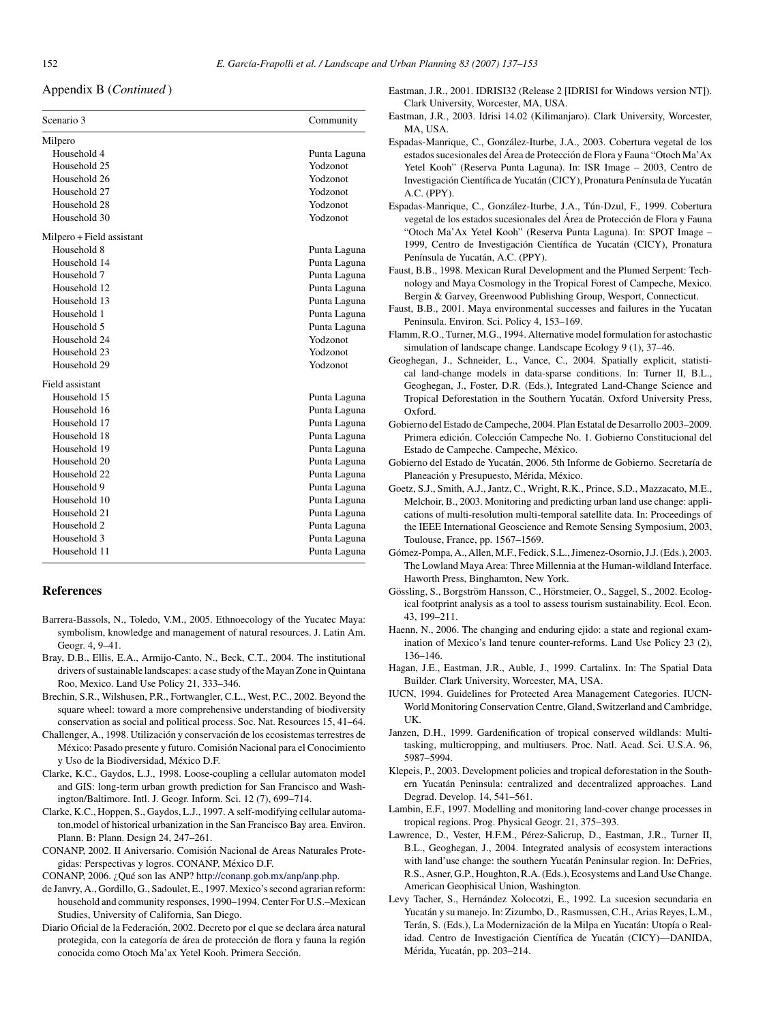#### <span id="page-15-0"></span>Appendix B (*Continued* )

| Scenario 3                | Community    |
|---------------------------|--------------|
| Milpero                   |              |
| Household 4               | Punta Laguna |
| Household 25              | Yodzonot     |
| Household 26              | Yodzonot     |
| Household 27              | Yodzonot     |
| Household 28              | Yodzonot     |
| Household 30              | Yodzonot     |
| Milpero + Field assistant |              |
| Household 8               | Punta Laguna |
| Household 14              | Punta Laguna |
| Household 7               | Punta Laguna |
| Household 12              | Punta Laguna |
| Household 13              | Punta Laguna |
| Household 1               | Punta Laguna |
| Household 5               | Punta Laguna |
| Household 24              | Yodzonot     |
| Household 23              | Yodzonot     |
| Household 29              | Yodzonot     |
| Field assistant           |              |
| Household 15              | Punta Laguna |
| Household 16              | Punta Laguna |
| Household 17              | Punta Laguna |
| Household 18              | Punta Laguna |
| Household 19              | Punta Laguna |
| Household 20              | Punta Laguna |
| Household 22              | Punta Laguna |
| Household 9               | Punta Laguna |
| Household 10              | Punta Laguna |
| Household 21              | Punta Laguna |
| Household 2               | Punta Laguna |
| Household 3               | Punta Laguna |
| Household 11              | Punta Laguna |

#### **References**

- Barrera-Bassols, N., Toledo, V.M., 2005. Ethnoecology of the Yucatec Maya: symbolism, knowledge and management of natural resources. J. Latin Am. Geogr. 4, 9–41.
- Bray, D.B., Ellis, E.A., Armijo-Canto, N., Beck, C.T., 2004. The institutional drivers of sustainable landscapes: a case study of the Mayan Zone in Quintana Roo, Mexico. Land Use Policy 21, 333–346.
- Brechin, S.R., Wilshusen, P.R., Fortwangler, C.L., West, P.C., 2002. Beyond the square wheel: toward a more comprehensive understanding of biodiversity conservation as social and political process. Soc. Nat. Resources 15, 41–64.
- Challenger, A., 1998. Utilización y conservación de los ecosistemas terrestres de México: Pasado presente y futuro. Comisión Nacional para el Conocimiento y Uso de la Biodiversidad, Mexico D.F. ´
- Clarke, K.C., Gaydos, L.J., 1998. Loose-coupling a cellular automaton model and GIS: long-term urban growth prediction for San Francisco and Washington/Baltimore. Intl. J. Geogr. Inform. Sci. 12 (7), 699–714.
- Clarke, K.C., Hoppen, S., Gaydos, L.J., 1997. A self-modifying cellular automaton,model of historical urbanization in the San Francisco Bay area. Environ. Plann. B: Plann. Design 24, 247–261.
- CONANP, 2002. II Aniversario. Comision Nacional de Areas Naturales Prote- ´ gidas: Perspectivas y logros. CONANP, México D.F.
- CONANP, 2006. ¿Qué son las ANP? [http://conanp.gob.mx/anp/anp.php.](http://conanp.gob.mx/anp/anp.php)
- de Janvry, A., Gordillo, G., Sadoulet, E., 1997. Mexico's second agrarian reform: household and community responses, 1990–1994. Center For U.S.–Mexican Studies, University of California, San Diego.
- Diario Oficial de la Federación, 2002. Decreto por el que se declara área natural protegida, con la categoría de área de protección de flora y fauna la región conocida como Otoch Ma'ax Yetel Kooh. Primera Seccion. ´

| Eastman, J.R., 2001. IDRISI32 (Release 2 [IDRISI for Windows version NT]). |  |
|----------------------------------------------------------------------------|--|
| Clark University, Worcester, MA, USA.                                      |  |

- Eastman, J.R., 2003. Idrisi 14.02 (Kilimanjaro). Clark University, Worcester, MA, USA.
- Espadas-Manrique, C., Gonzalez-Iturbe, J.A., 2003. Cobertura vegetal de los ´ estados sucesionales del Área de Protección de Flora y Fauna "Otoch Ma'Ax Yetel Kooh" (Reserva Punta Laguna). In: ISR Image – 2003, Centro de Investigación Científica de Yucatán (CICY), Pronatura Península de Yucatán A.C. (PPY).
- Espadas-Manrique, C., González-Iturbe, J.A., Tún-Dzul, F., 1999. Cobertura vegetal de los estados sucesionales del Área de Protección de Flora y Fauna "Otoch Ma'Ax Yetel Kooh" (Reserva Punta Laguna). In: SPOT Image – 1999, Centro de Investigación Científica de Yucatán (CICY), Pronatura Península de Yucatán, A.C. (PPY).
- Faust, B.B., 1998. Mexican Rural Development and the Plumed Serpent: Technology and Maya Cosmology in the Tropical Forest of Campeche, Mexico. Bergin & Garvey, Greenwood Publishing Group, Wesport, Connecticut.
- Faust, B.B., 2001. Maya environmental successes and failures in the Yucatan Peninsula. Environ. Sci. Policy 4, 153–169.
- Flamm, R.O., Turner, M.G., 1994. Alternative model formulation for astochastic simulation of landscape change. Landscape Ecology 9 (1), 37–46.
- Geoghegan, J., Schneider, L., Vance, C., 2004. Spatially explicit, statistical land-change models in data-sparse conditions. In: Turner II, B.L., Geoghegan, J., Foster, D.R. (Eds.), Integrated Land-Change Science and Tropical Deforestation in the Southern Yucatán. Oxford University Press, Oxford.
- Gobierno del Estado de Campeche, 2004. Plan Estatal de Desarrollo 2003–2009. Primera edición. Colección Campeche No. 1. Gobierno Constitucional del Estado de Campeche. Campeche, México.
- Gobierno del Estado de Yucatán, 2006. 5th Informe de Gobierno. Secretaría de Planeación y Presupuesto, Mérida, México.
- Goetz, S.J., Smith, A.J., Jantz, C., Wright, R.K., Prince, S.D., Mazzacato, M.E., Melchoir, B., 2003. Monitoring and predicting urban land use change: applications of multi-resolution multi-temporal satellite data. In: Proceedings of the IEEE International Geoscience and Remote Sensing Symposium, 2003, Toulouse, France, pp. 1567–1569.
- Gómez-Pompa, A., Allen, M.F., Fedick, S.L., Jimenez-Osornio, J.J. (Eds.), 2003. The Lowland Maya Area: Three Millennia at the Human-wildland Interface. Haworth Press, Binghamton, New York.
- Gössling, S., Borgström Hansson, C., Hörstmeier, O., Saggel, S., 2002. Ecological footprint analysis as a tool to assess tourism sustainability. Ecol. Econ. 43, 199–211.
- Haenn, N., 2006. The changing and enduring ejido: a state and regional examination of Mexico's land tenure counter-reforms. Land Use Policy 23 (2), 136–146.
- Hagan, J.E., Eastman, J.R., Auble, J., 1999. Cartalinx. In: The Spatial Data Builder. Clark University, Worcester, MA, USA.
- IUCN, 1994. Guidelines for Protected Area Management Categories. IUCN-World Monitoring Conservation Centre, Gland, Switzerland and Cambridge, UK.
- Janzen, D.H., 1999. Gardenification of tropical conserved wildlands: Multitasking, multicropping, and multiusers. Proc. Natl. Acad. Sci. U.S.A. 96, 5987–5994.
- Klepeis, P., 2003. Development policies and tropical deforestation in the Southern Yucatán Peninsula: centralized and decentralized approaches. Land Degrad. Develop. 14, 541–561.
- Lambin, E.F., 1997. Modelling and monitoring land-cover change processes in tropical regions. Prog. Physical Geogr. 21, 375–393.
- Lawrence, D., Vester, H.F.M., Pérez-Salicrup, D., Eastman, J.R., Turner II, B.L., Geoghegan, J., 2004. Integrated analysis of ecosystem interactions with land'use change: the southern Yucatán Peninsular region. In: DeFries, R.S., Asner, G.P., Houghton, R.A. (Eds.), Ecosystems and Land Use Change. American Geophisical Union, Washington.
- Levy Tacher, S., Hernández Xolocotzi, E., 1992. La sucesion secundaria en Yucatán y su manejo. In: Zizumbo, D., Rasmussen, C.H., Arias Reyes, L.M., Terán, S. (Eds.), La Modernización de la Milpa en Yucatán: Utopía o Realidad. Centro de Investigación Científica de Yucatán (CICY)—DANIDA, Mérida, Yucatán, pp. 203-214.